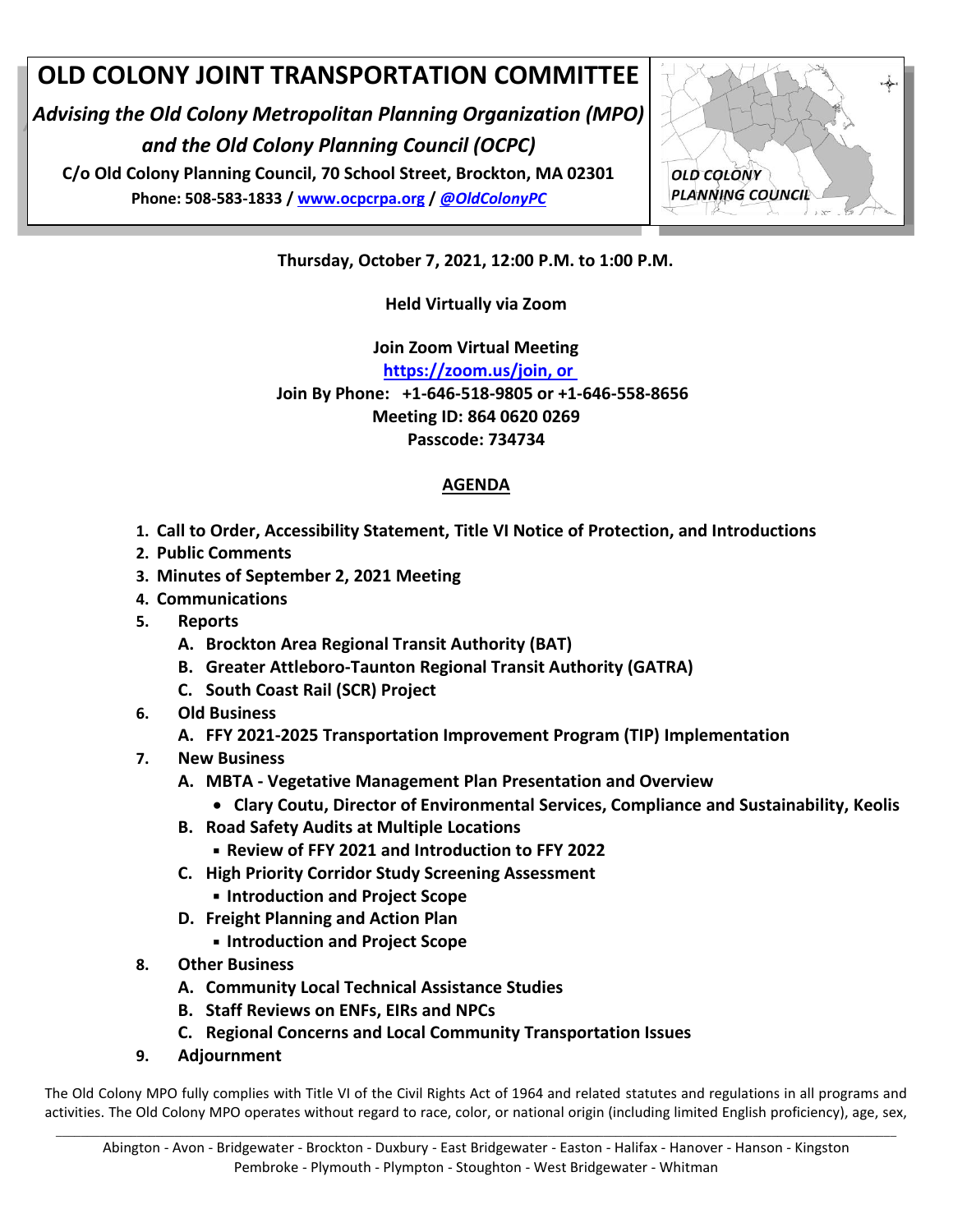#### **OLD COLONY JOINT TRANSPORTATION COMMITTEE**

*Advising the Old Colony Metropolitan Planning Organization (MPO) and the Old Colony Planning Council (OCPC)*

**C/o Old Colony Planning Council, 70 School Street, Brockton, MA 02301 Phone: 508-583-1833 / [www.ocpcrpa.org](http://www.ocpcrpa.org/) /** *[@OldColonyPC](https://twitter.com/OldColonyPC)*



**Thursday, October 7, 2021, 12:00 P.M. to 1:00 P.M.**

**Held Virtually via Zoom** 

**Join Zoom Virtual Meeting [https://zoom.us/join,](https://zoom.us/join) or Join By Phone: +1-646-518-9805 or +1-646-558-8656 Meeting ID: 864 0620 0269 Passcode: 734734**

#### **AGENDA**

- **1. Call to Order, Accessibility Statement, Title VI Notice of Protection, and Introductions**
- **2. Public Comments**
- **3. Minutes of September 2, 2021 Meeting**
- **4. Communications**
- **5. Reports**
	- **A. Brockton Area Regional Transit Authority (BAT)**
	- **B. Greater Attleboro-Taunton Regional Transit Authority (GATRA)**
	- **C. South Coast Rail (SCR) Project**
- **6. Old Business**
	- **A. FFY 2021-2025 Transportation Improvement Program (TIP) Implementation**
- **7. New Business**
	- **A. MBTA - Vegetative Management Plan Presentation and Overview**
		- **Clary Coutu, Director of Environmental Services, Compliance and Sustainability, Keolis**
	- **B. Road Safety Audits at Multiple Locations**
		- **Review of FFY 2021 and Introduction to FFY 2022**
	- **C. High Priority Corridor Study Screening Assessment**  ▪ **Introduction and Project Scope**
	- **D. Freight Planning and Action Plan**
		- **Introduction and Project Scope**
- **8. Other Business**
	- **A. Community Local Technical Assistance Studies**
	- **B. Staff Reviews on ENFs, EIRs and NPCs**
	- **C. Regional Concerns and Local Community Transportation Issues**
- **9. Adjournment**

The Old Colony MPO fully complies with Title VI of the Civil Rights Act of 1964 and related statutes and regulations in all programs and activities. The Old Colony MPO operates without regard to race, color, or national origin (including limited English proficiency), age, sex,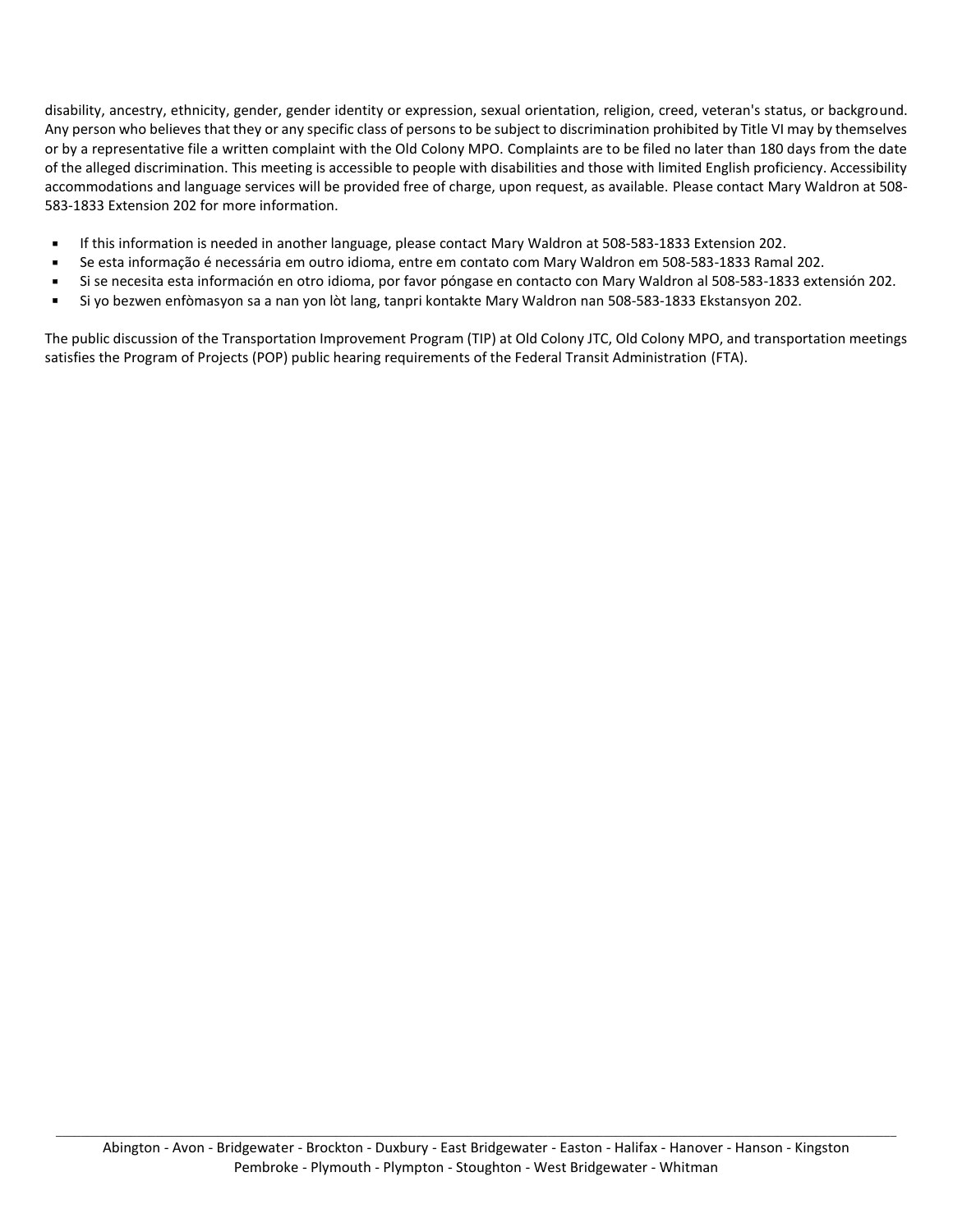disability, ancestry, ethnicity, gender, gender identity or expression, sexual orientation, religion, creed, veteran's status, or background. Any person who believes that they or any specific class of persons to be subject to discrimination prohibited by Title VI may by themselves or by a representative file a written complaint with the Old Colony MPO. Complaints are to be filed no later than 180 days from the date of the alleged discrimination. This meeting is accessible to people with disabilities and those with limited English proficiency. Accessibility accommodations and language services will be provided free of charge, upon request, as available. Please contact Mary Waldron at 508- 583-1833 Extension 202 for more information.

- If this information is needed in another language, please contact Mary Waldron at 508-583-1833 Extension 202.
- Se esta informação é necessária em outro idioma, entre em contato com Mary Waldron em 508-583-1833 Ramal 202.
- Si se necesita esta información en otro idioma, por favor póngase en contacto con Mary Waldron al 508-583-1833 extensión 202.
- Si yo bezwen enfòmasyon sa a nan yon lòt lang, tanpri kontakte Mary Waldron nan 508-583-1833 Ekstansyon 202.

The public discussion of the Transportation Improvement Program (TIP) at Old Colony JTC, Old Colony MPO, and transportation meetings satisfies the Program of Projects (POP) public hearing requirements of the Federal Transit Administration (FTA).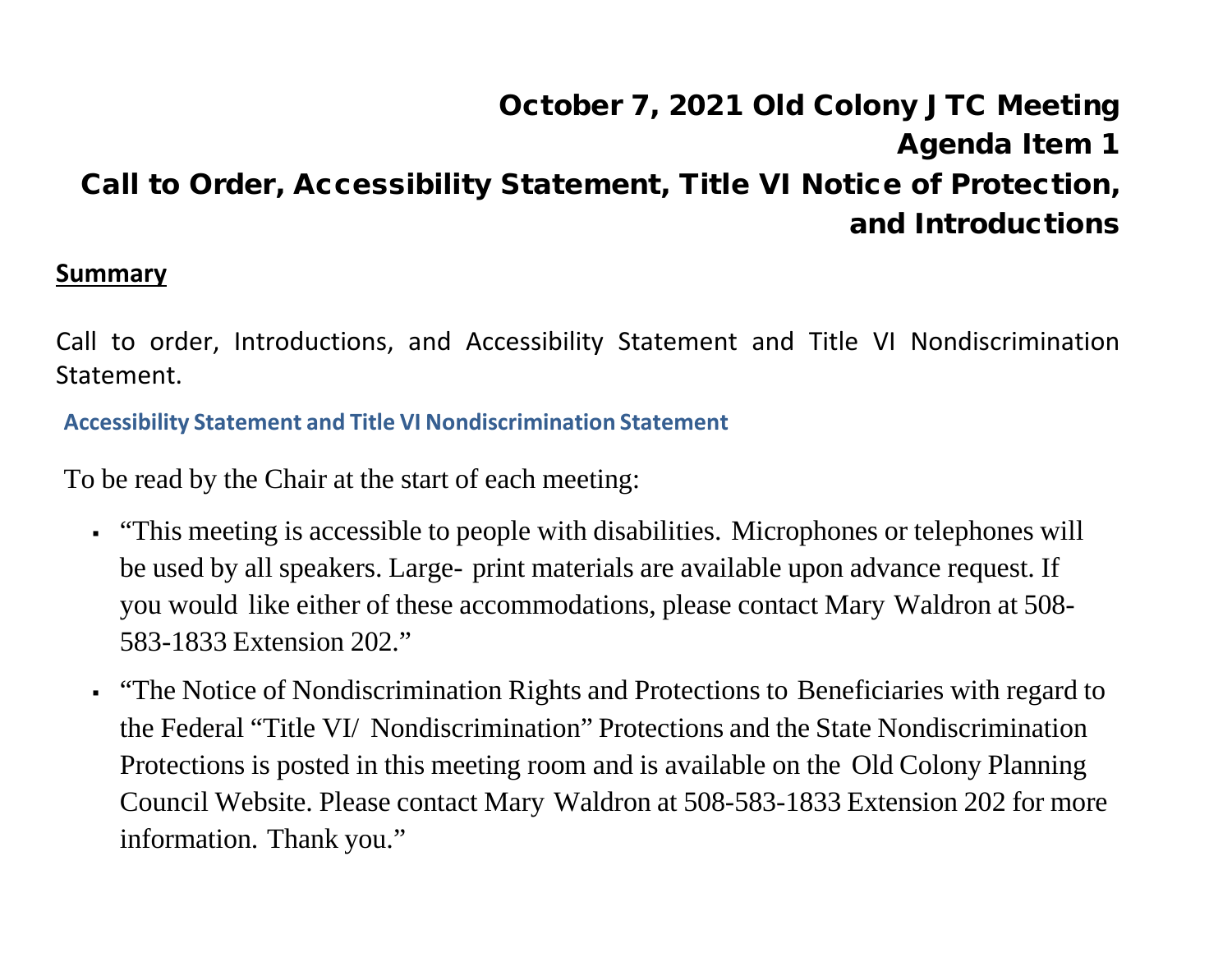# October 7, 2021 Old Colony JTC Meeting Agenda Item 1 Call to Order, Accessibility Statement, Title VI Notice of Protection, and Introductions

#### **Summary**

Call to order, Introductions, and Accessibility Statement and Title VI Nondiscrimination Statement.

**Accessibility Statement and Title VI Nondiscrimination Statement**

To be read by the Chair at the start of each meeting:

- "This meeting is accessible to people with disabilities. Microphones or telephones will be used by all speakers. Large- print materials are available upon advance request. If you would like either of these accommodations, please contact Mary Waldron at 508- 583-1833 Extension 202."
- "The Notice of Nondiscrimination Rights and Protections to Beneficiaries with regard to the Federal "Title VI/ Nondiscrimination" Protections and the State Nondiscrimination Protections is posted in this meeting room and is available on the Old Colony Planning Council Website. Please contact Mary Waldron at 508-583-1833 Extension 202 for more information. Thank you."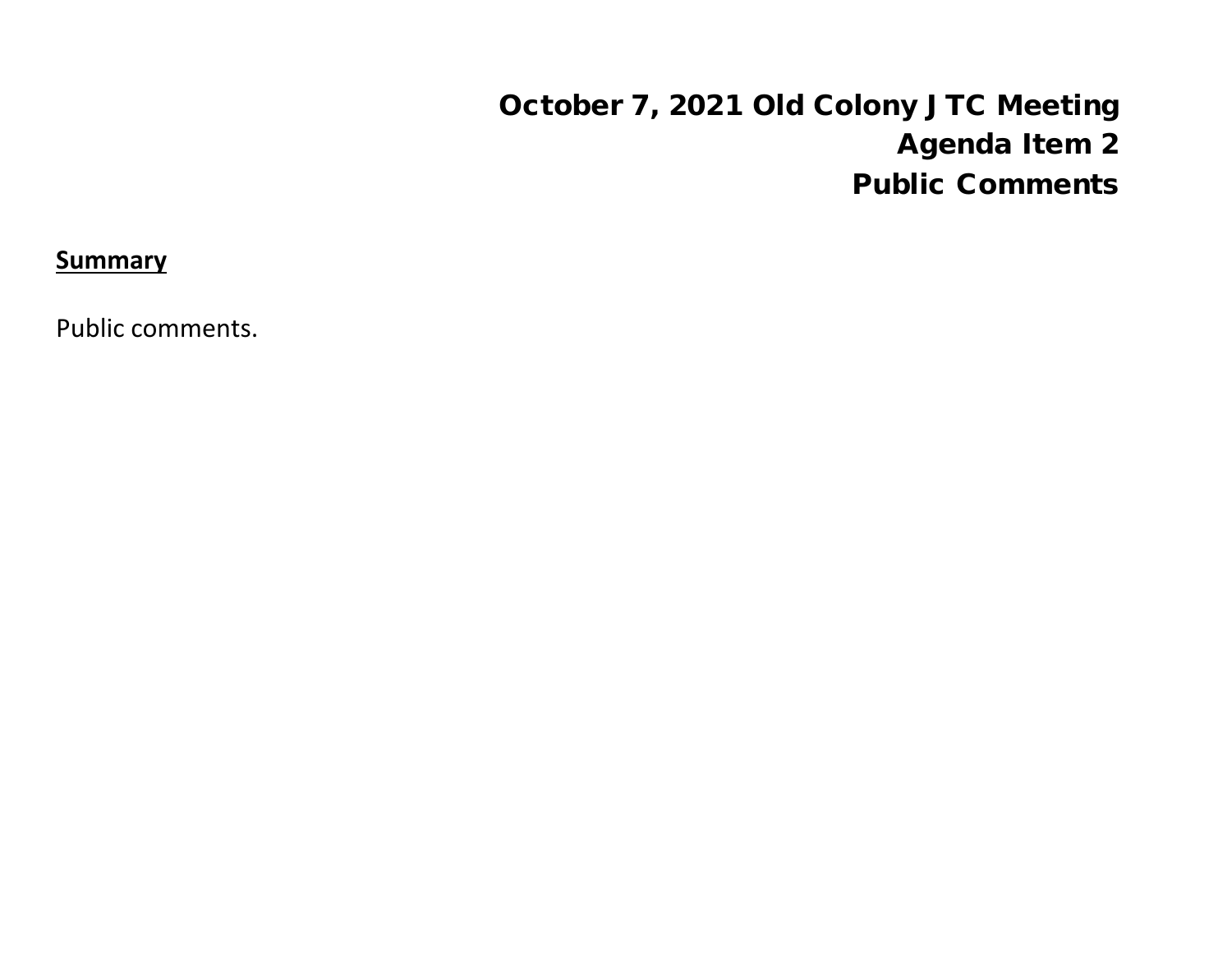# October 7, 2021 Old Colony JTC Meeting Agenda Item 2 Public Comments

**Summary**

Public comments.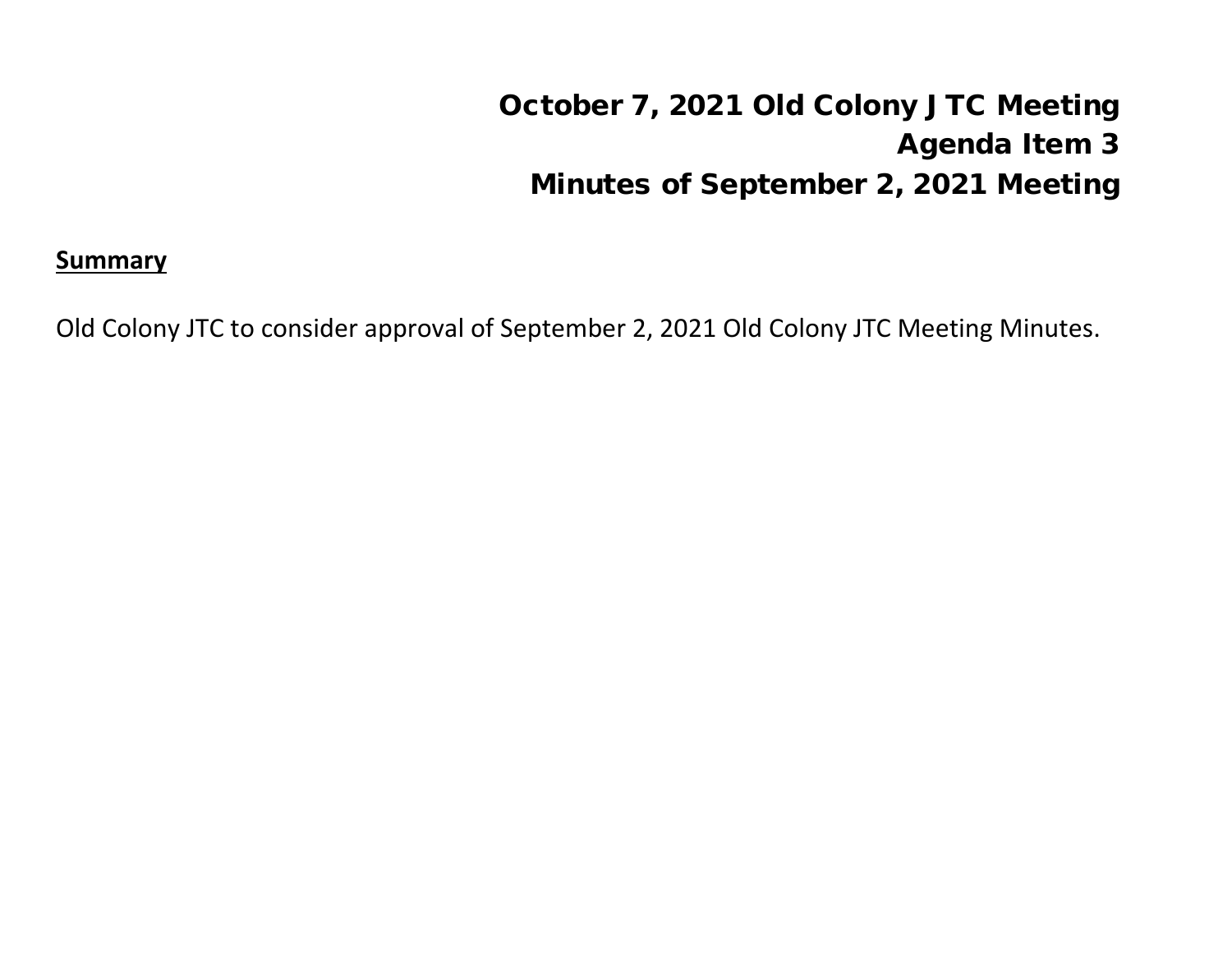# October 7, 2021 Old Colony JTC Meeting Agenda Item 3 Minutes of September 2, 2021 Meeting

#### **Summary**

Old Colony JTC to consider approval of September 2, 2021 Old Colony JTC Meeting Minutes.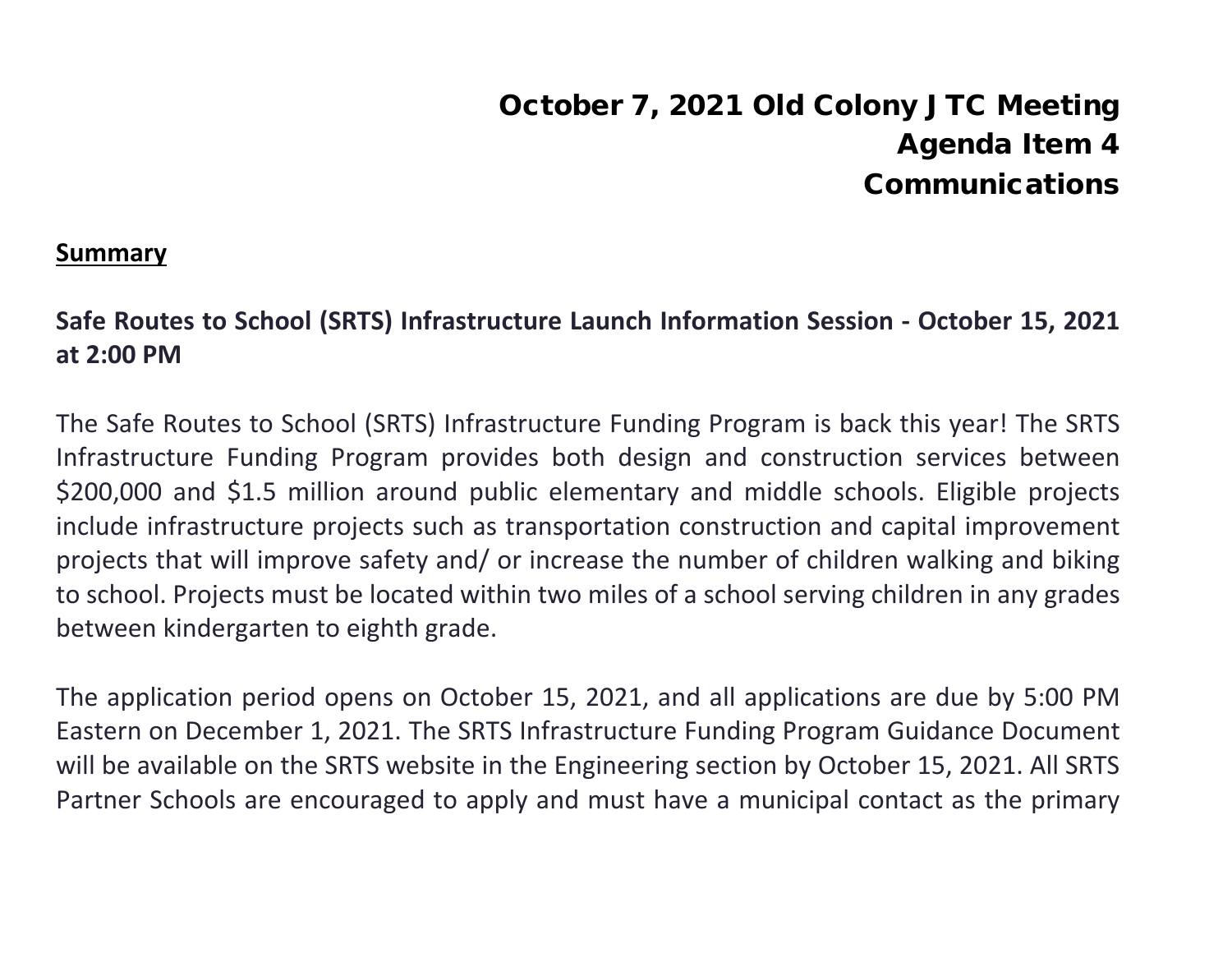# October 7, 2021 Old Colony JTC Meeting Agenda Item 4 Communications

#### **Summary**

#### **Safe Routes to School (SRTS) Infrastructure Launch Information Session - October 15, 2021 at 2:00 PM**

The Safe Routes to School (SRTS) Infrastructure Funding Program is back this year! The SRTS Infrastructure Funding Program provides both design and construction services between \$200,000 and \$1.5 million around public elementary and middle schools. Eligible projects include infrastructure projects such as transportation construction and capital improvement projects that will improve safety and/ or increase the number of children walking and biking to school. Projects must be located within two miles of a school serving children in any grades between kindergarten to eighth grade.

The application period opens on October 15, 2021, and all applications are due by 5:00 PM Eastern on December 1, 2021. The SRTS Infrastructure Funding Program Guidance Document will be available on the SRTS website in the Engineering section by October 15, 2021. All SRTS Partner Schools are encouraged to apply and must have a municipal contact as the primary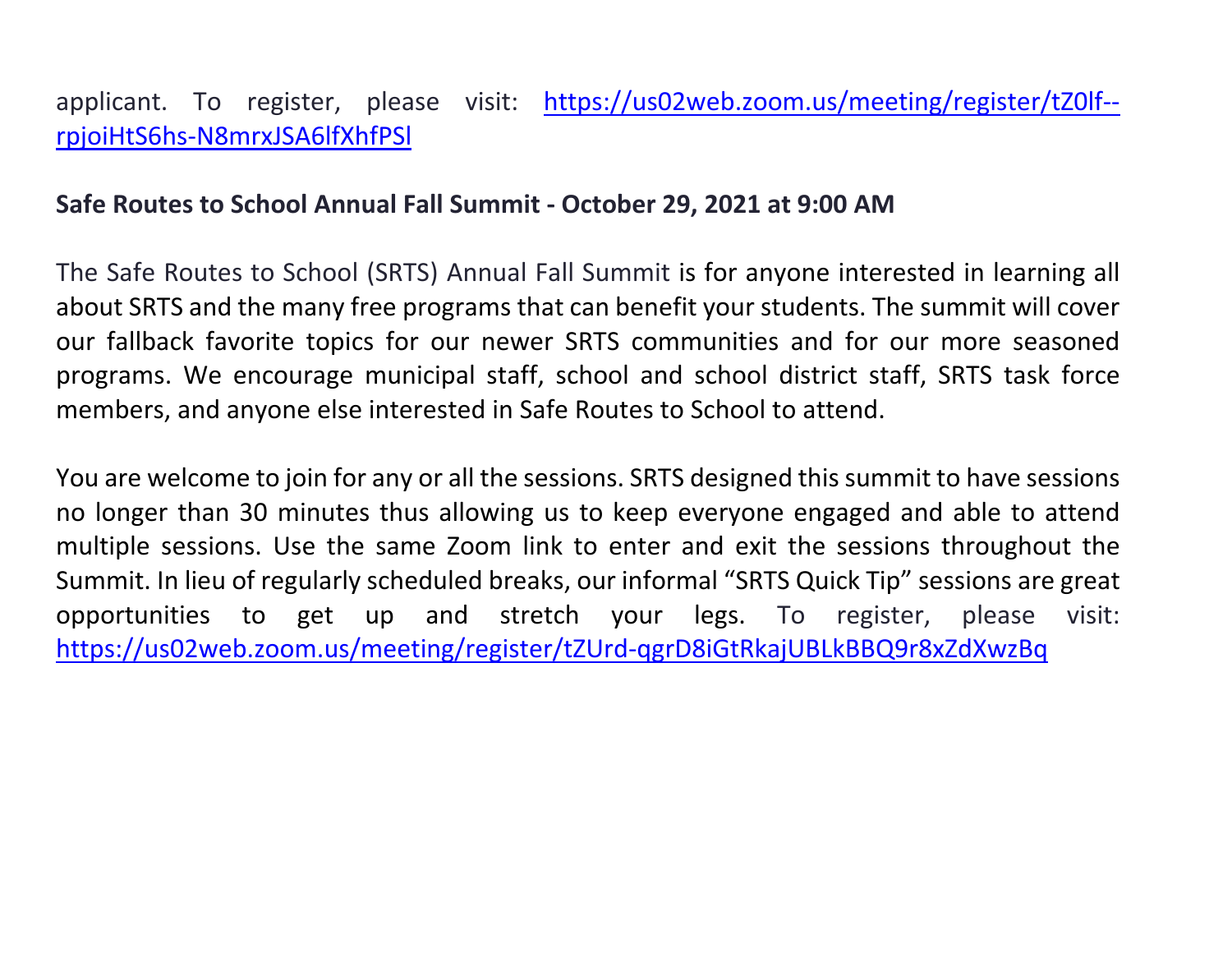#### applicant. To register, please visit: [https://us02web.zoom.us/meeting/register/tZ0lf-](https://us02web.zoom.us/meeting/register/tZ0lf--rpjoiHtS6hs-N8mrxJSA6lfXhfPSl) [rpjoiHtS6hs-N8mrxJSA6lfXhfPSl](https://us02web.zoom.us/meeting/register/tZ0lf--rpjoiHtS6hs-N8mrxJSA6lfXhfPSl)

#### **Safe Routes to School Annual Fall Summit - October 29, 2021 at 9:00 AM**

The Safe Routes to School (SRTS) Annual Fall Summit is for anyone interested in learning all about SRTS and the many free programs that can benefit your students. The summit will cover our fallback favorite topics for our newer SRTS communities and for our more seasoned programs. We encourage municipal staff, school and school district staff, SRTS task force members, and anyone else interested in Safe Routes to School to attend.

You are welcome to join for any or all the sessions. SRTS designed this summit to have sessions no longer than 30 minutes thus allowing us to keep everyone engaged and able to attend multiple sessions. Use the same Zoom link to enter and exit the sessions throughout the Summit. In lieu of regularly scheduled breaks, our informal "SRTS Quick Tip" sessions are great opportunities to get up and stretch your legs. To register, please visit: <https://us02web.zoom.us/meeting/register/tZUrd-qgrD8iGtRkajUBLkBBQ9r8xZdXwzBq>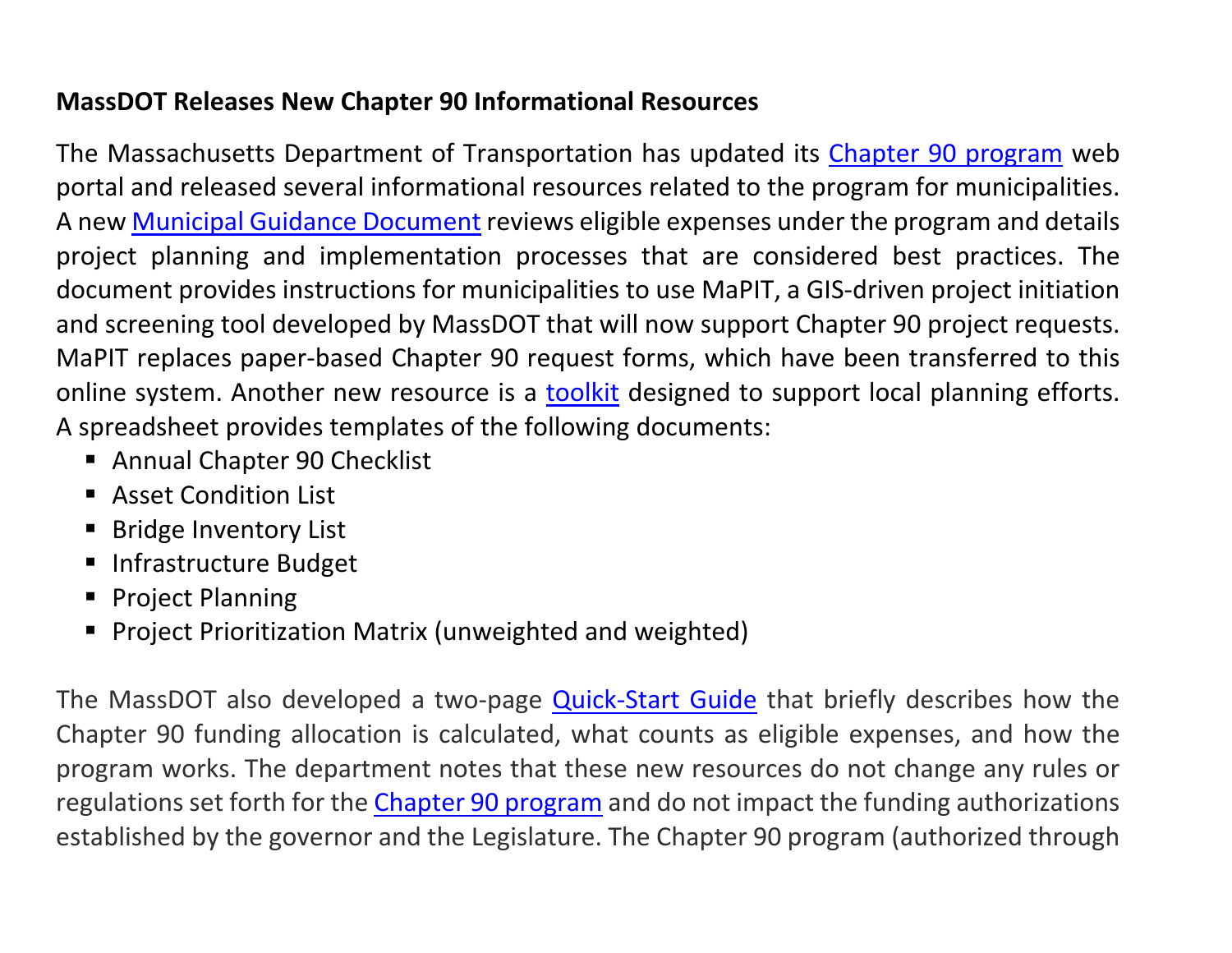#### **MassDOT Releases New Chapter 90 Informational Resources**

The Massachusetts Department of Transportation has updated its Chapter 90 [program](https://www.mass.gov/chapter-90-program) web portal and released several informational resources related to the program for municipalities. A new Municipal Guidance [Document](https://www.mass.gov/doc/program-guidance/download) reviews eligible expenses under the program and details project planning and implementation processes that are considered best practices. The document provides instructions for municipalities to use MaPIT, a GIS-driven project initiation and screening tool developed by MassDOT that will now support Chapter 90 project requests. MaPIT replaces paper-based Chapter 90 request forms, which have been transferred to this online system. Another new resource is a **[toolkit](https://www.mass.gov/info-details/chapter-90-planning-toolkit)** designed to support local planning efforts. A spreadsheet provides templates of the following documents:

- Annual Chapter 90 Checklist
- **Asset Condition List**
- **Bridge Inventory List**
- **Infrastructure Budget**
- **Project Planning**
- **Project Prioritization Matrix (unweighted and weighted)**

The MassDOT also developed a two-page **[Quick-Start Guide](https://www.mass.gov/doc/getting-started/download)** that briefly describes how the Chapter 90 funding allocation is calculated, what counts as eligible expenses, and how the program works. The department notes that these new resources do not change any rules or regulations set forth for the [Chapter 90 program](https://www.mass.gov/chapter-90-program) and do not impact the funding authorizations established by the governor and the Legislature. The Chapter 90 program (authorized through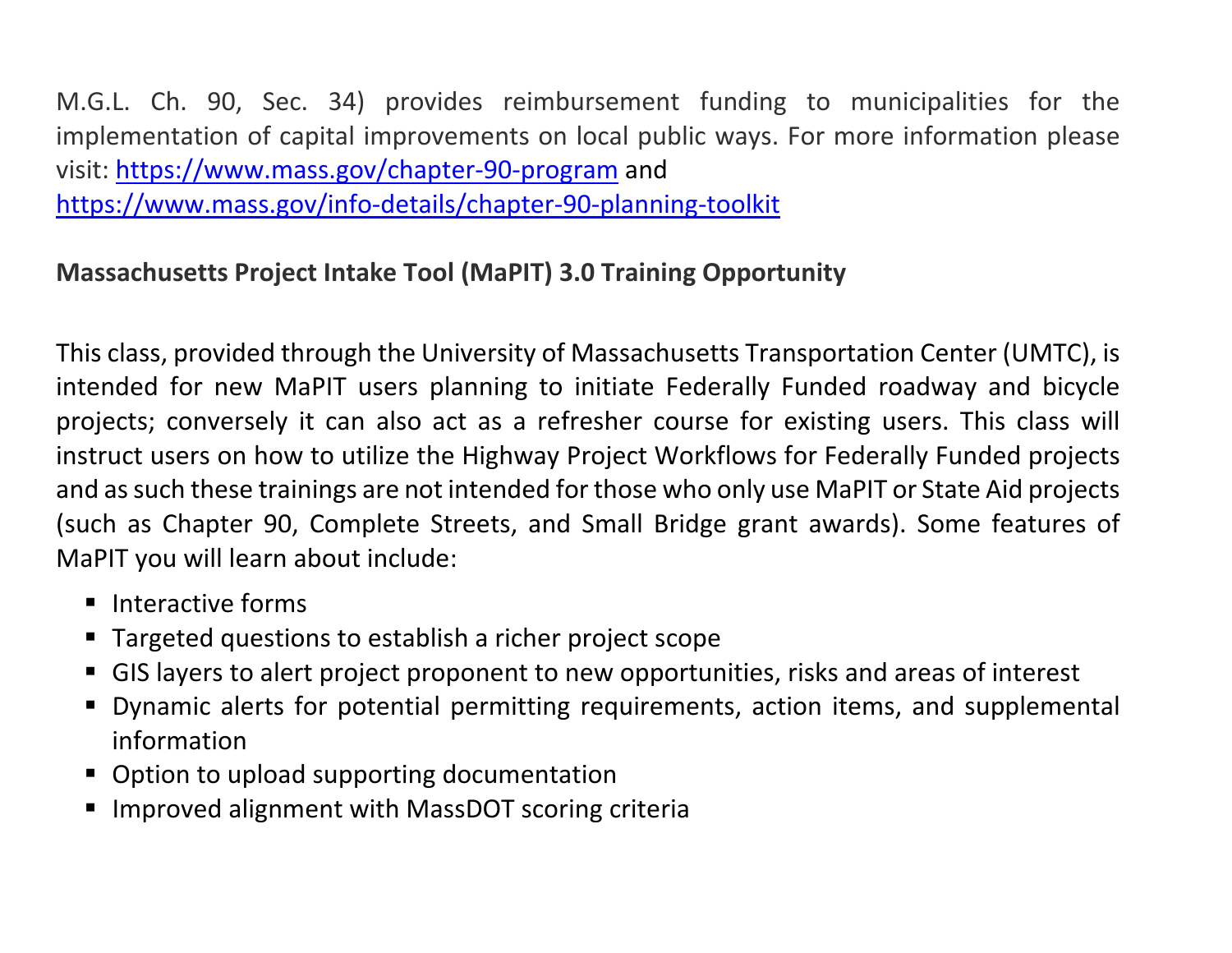M.G.L. Ch. 90, Sec. 34) provides reimbursement funding to municipalities for the implementation of capital improvements on local public ways. For more information please visit: <https://www.mass.gov/chapter-90-program> and <https://www.mass.gov/info-details/chapter-90-planning-toolkit>

#### **Massachusetts Project Intake Tool (MaPIT) 3.0 Training Opportunity**

This class, provided through the University of Massachusetts Transportation Center (UMTC), is intended for new MaPIT users planning to initiate Federally Funded roadway and bicycle projects; conversely it can also act as a refresher course for existing users. This class will instruct users on how to utilize the Highway Project Workflows for Federally Funded projects and as such these trainings are not intended for those who only use MaPIT or State Aid projects (such as Chapter 90, Complete Streets, and Small Bridge grant awards). Some features of MaPIT you will learn about include:

- $\blacksquare$  Interactive forms
- **Targeted questions to establish a richer project scope**
- GIS layers to alert project proponent to new opportunities, risks and areas of interest
- Dynamic alerts for potential permitting requirements, action items, and supplemental information
- Option to upload supporting documentation
- Improved alignment with MassDOT scoring criteria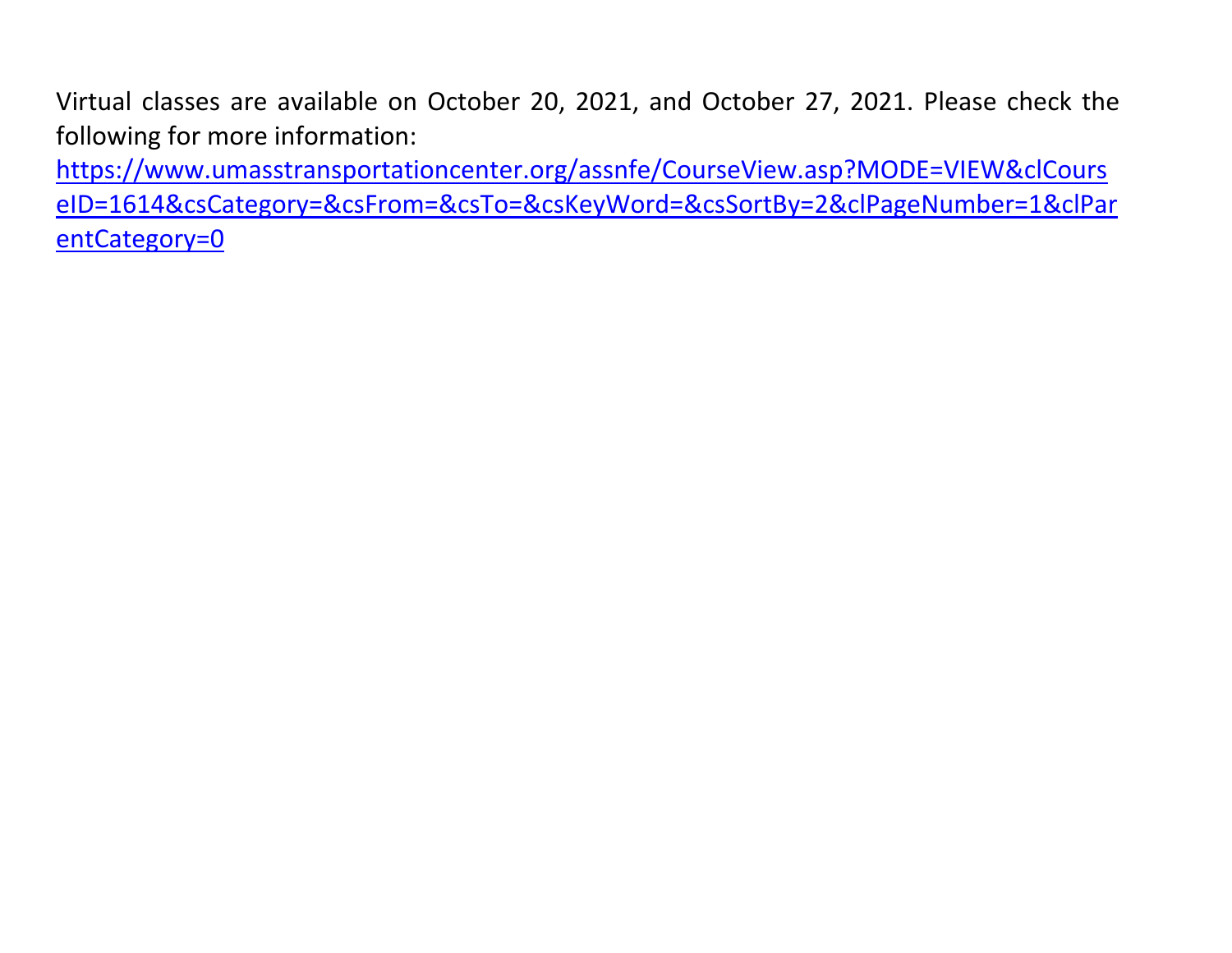Virtual classes are available on October 20, 2021, and October 27, 2021. Please check the following for more information:

[https://www.umasstransportationcenter.org/assnfe/CourseView.asp?MODE=VIEW&clCours](https://www.umasstransportationcenter.org/assnfe/CourseView.asp?MODE=VIEW&clCourseID=1614&csCategory=&csFrom=&csTo=&csKeyWord=&csSortBy=2&clPageNumber=1&clParentCategory=0) [eID=1614&csCategory=&csFrom=&csTo=&csKeyWord=&csSortBy=2&clPageNumber=1&clPar](https://www.umasstransportationcenter.org/assnfe/CourseView.asp?MODE=VIEW&clCourseID=1614&csCategory=&csFrom=&csTo=&csKeyWord=&csSortBy=2&clPageNumber=1&clParentCategory=0) [entCategory=0](https://www.umasstransportationcenter.org/assnfe/CourseView.asp?MODE=VIEW&clCourseID=1614&csCategory=&csFrom=&csTo=&csKeyWord=&csSortBy=2&clPageNumber=1&clParentCategory=0)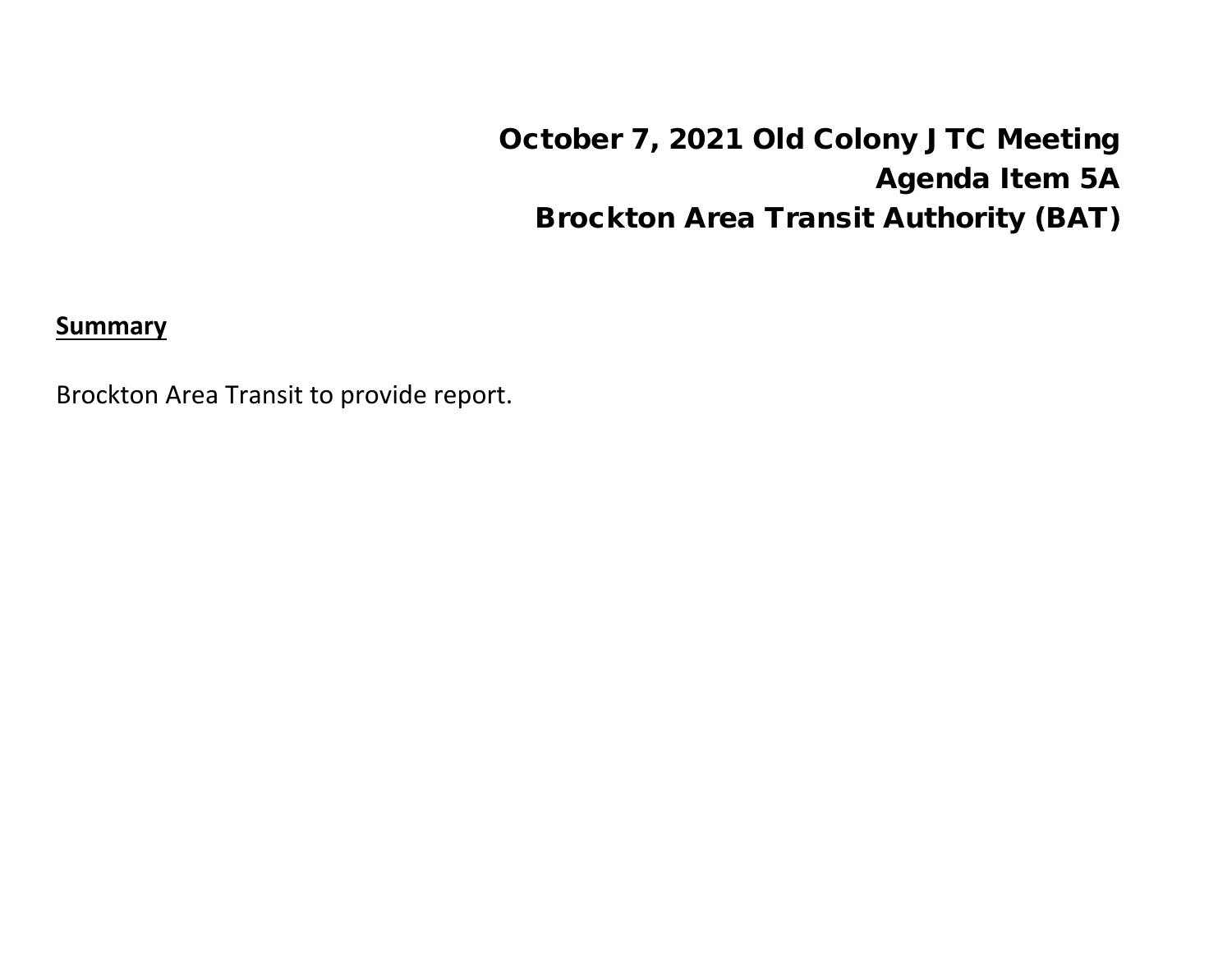October 7, 2021 Old Colony JTC Meeting Agenda Item 5A Brockton Area Transit Authority (BAT)

**Summary**

Brockton Area Transit to provide report.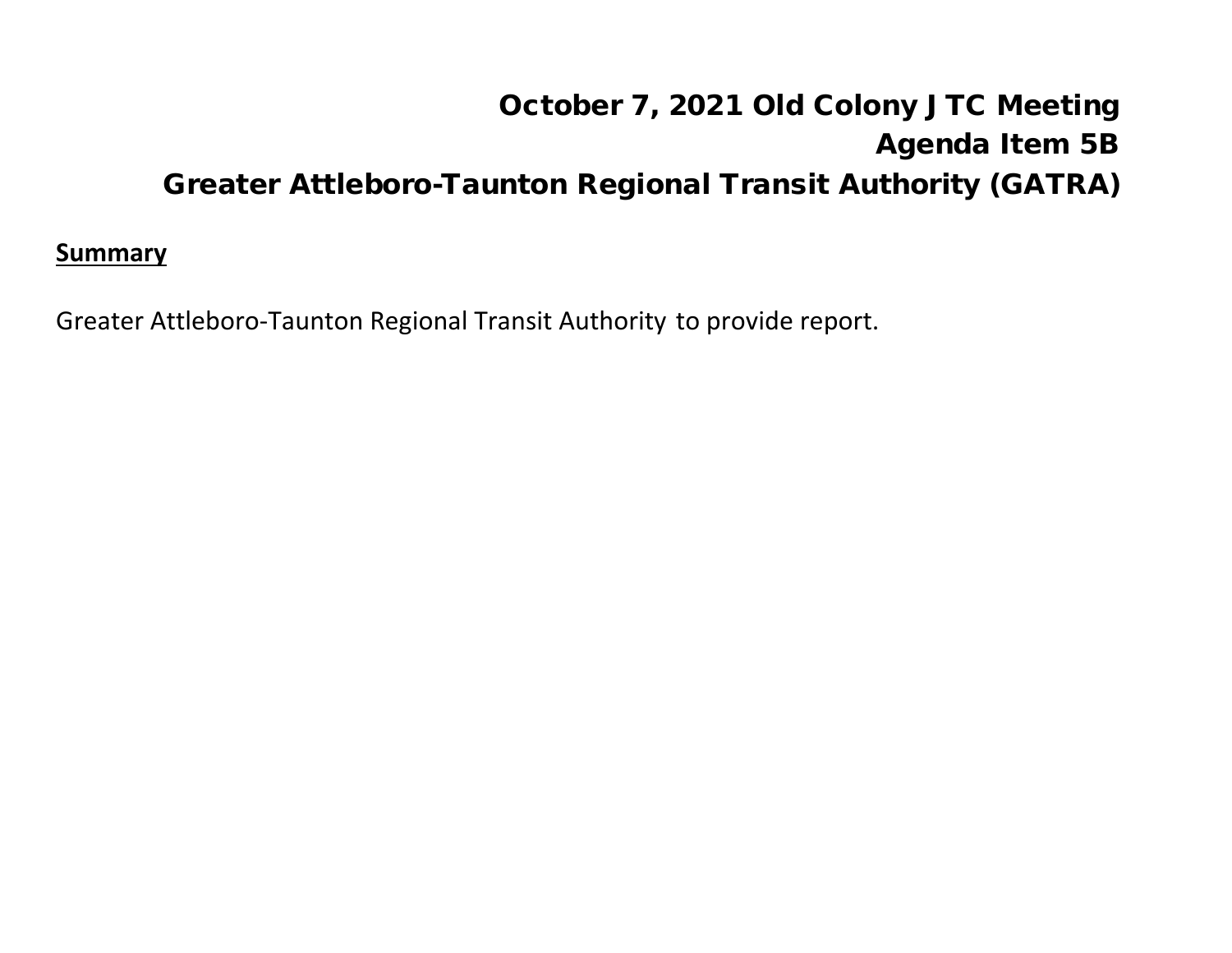# October 7, 2021 Old Colony JTC Meeting Agenda Item 5B Greater Attleboro-Taunton Regional Transit Authority (GATRA)

#### **Summary**

Greater Attleboro-Taunton Regional Transit Authority to provide report.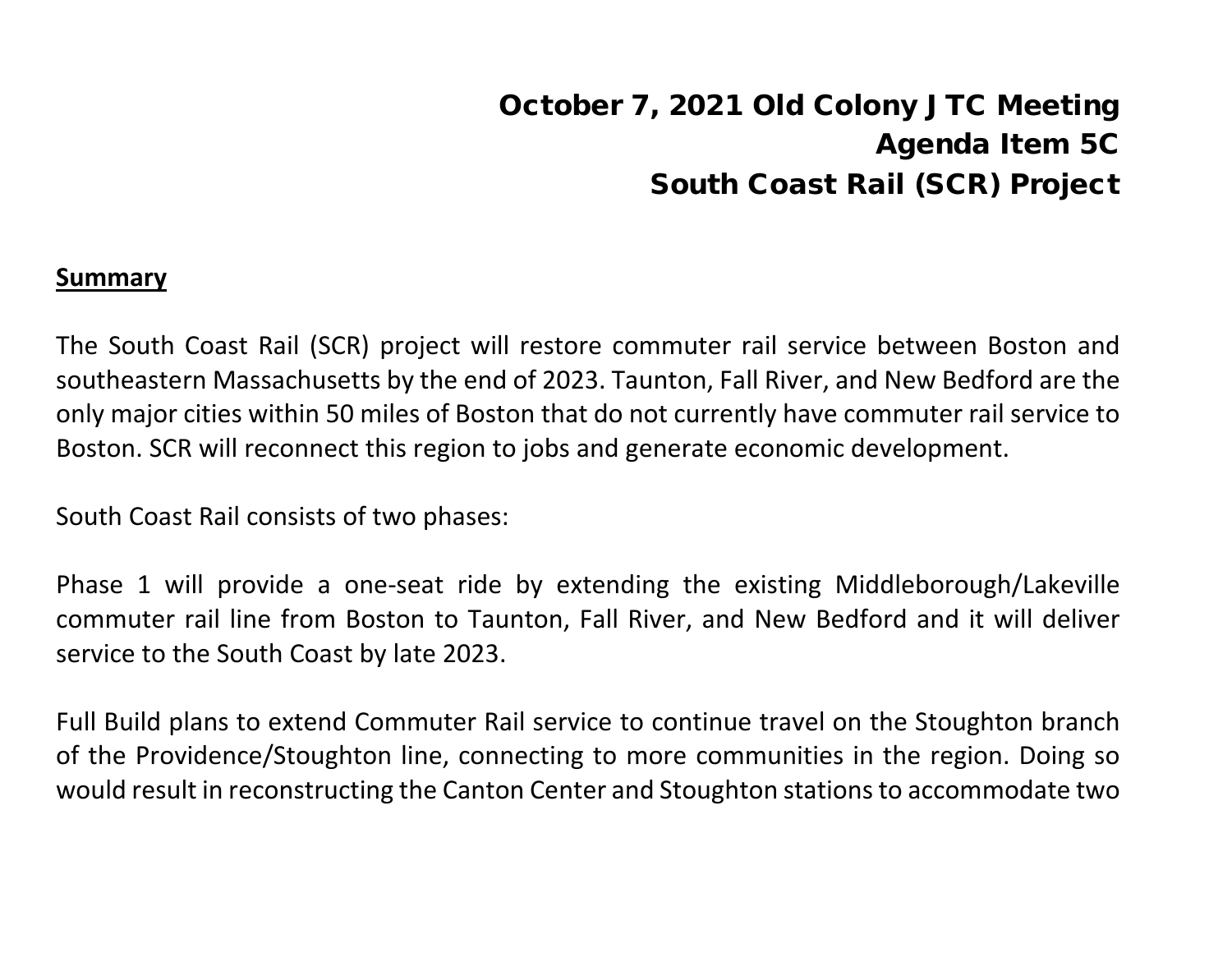# October 7, 2021 Old Colony JTC Meeting Agenda Item 5C South Coast Rail (SCR) Project

#### **Summary**

The South Coast Rail (SCR) project will restore commuter rail service between Boston and southeastern Massachusetts by the end of 2023. Taunton, Fall River, and New Bedford are the only major cities within 50 miles of Boston that do not currently have commuter rail service to Boston. SCR will reconnect this region to jobs and generate economic development.

South Coast Rail consists of two phases:

Phase 1 will provide a one-seat ride by extending the existing Middleborough/Lakeville commuter rail line from Boston to Taunton, Fall River, and New Bedford and it will deliver service to the South Coast by late 2023.

Full Build plans to extend Commuter Rail service to continue travel on the Stoughton branch of the Providence/Stoughton line, connecting to more communities in the region. Doing so would result in reconstructing the Canton Center and Stoughton stations to accommodate two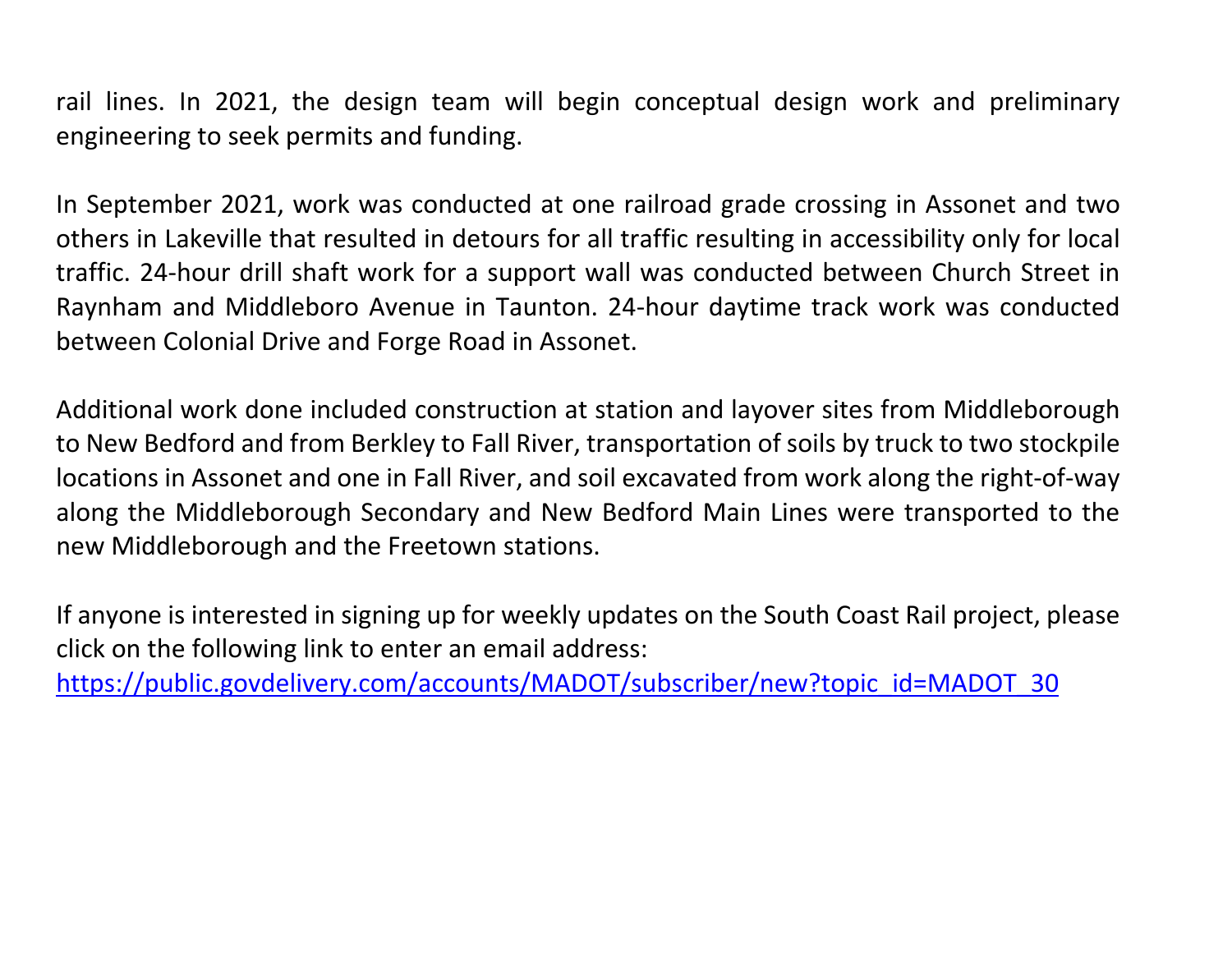rail lines. In 2021, the design team will begin conceptual design work and preliminary engineering to seek permits and funding.

In September 2021, work was conducted at one railroad grade crossing in Assonet and two others in Lakeville that resulted in detours for all traffic resulting in accessibility only for local traffic. 24-hour drill shaft work for a support wall was conducted between Church Street in Raynham and Middleboro Avenue in Taunton. 24-hour daytime track work was conducted between Colonial Drive and Forge Road in Assonet.

Additional work done included construction at station and layover sites from Middleborough to New Bedford and from Berkley to Fall River, transportation of soils by truck to two stockpile locations in Assonet and one in Fall River, and soil excavated from work along the right-of-way along the Middleborough Secondary and New Bedford Main Lines were transported to the new Middleborough and the Freetown stations.

If anyone is interested in signing up for weekly updates on the South Coast Rail project, please click on the following link to enter an email address:

[https://public.govdelivery.com/accounts/MADOT/subscriber/new?topic\\_id=MADOT\\_30](about:blank)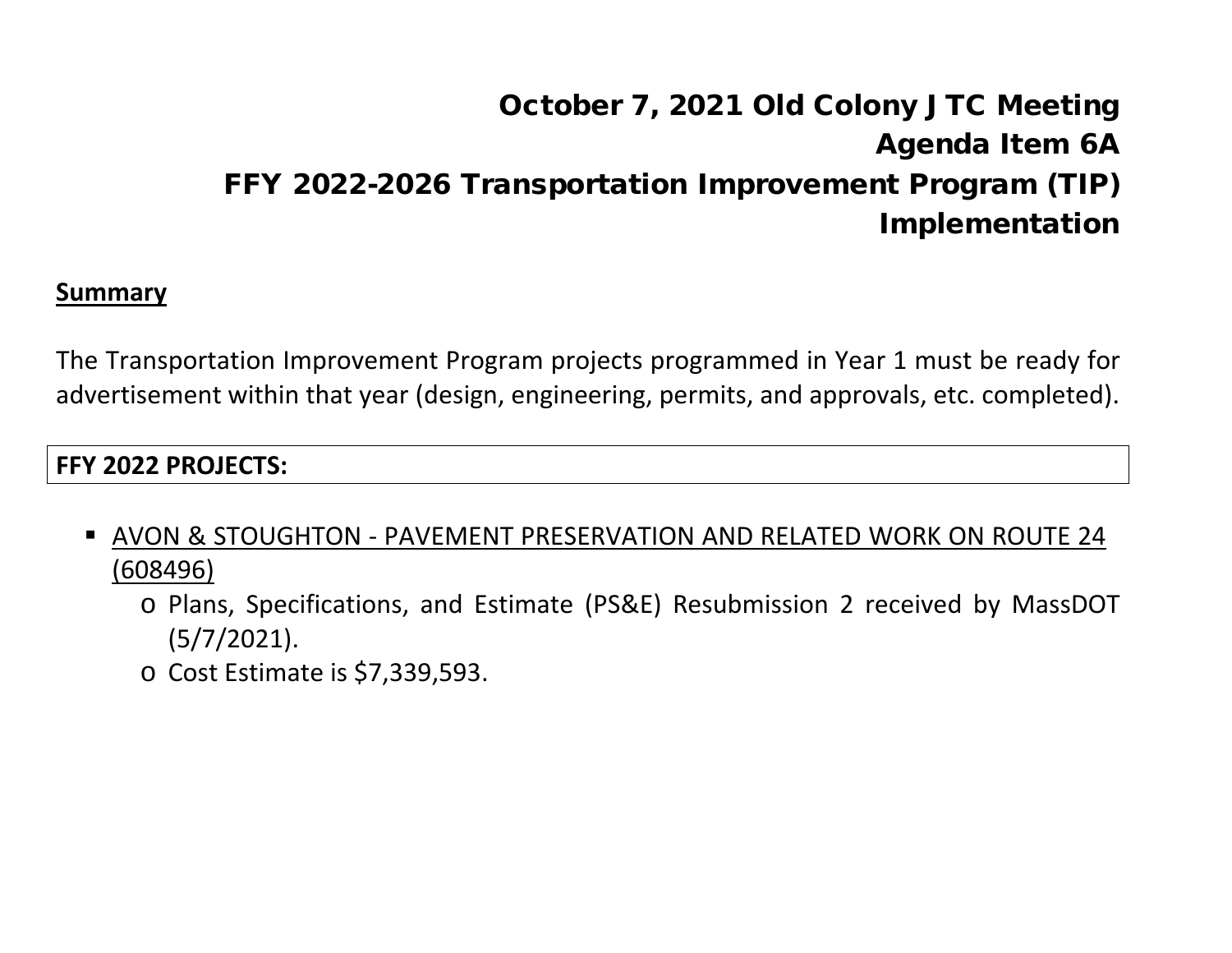# October 7, 2021 Old Colony JTC Meeting Agenda Item 6A FFY 2022-2026 Transportation Improvement Program (TIP) Implementation

#### **Summary**

The Transportation Improvement Program projects programmed in Year 1 must be ready for advertisement within that year (design, engineering, permits, and approvals, etc. completed).

#### **FFY 2022 PROJECTS:**

- AVON & STOUGHTON PAVEMENT PRESERVATION AND RELATED WORK ON ROUTE 24 (608496)
	- o Plans, Specifications, and Estimate (PS&E) Resubmission 2 received by MassDOT (5/7/2021).
	- o Cost Estimate is \$7,339,593.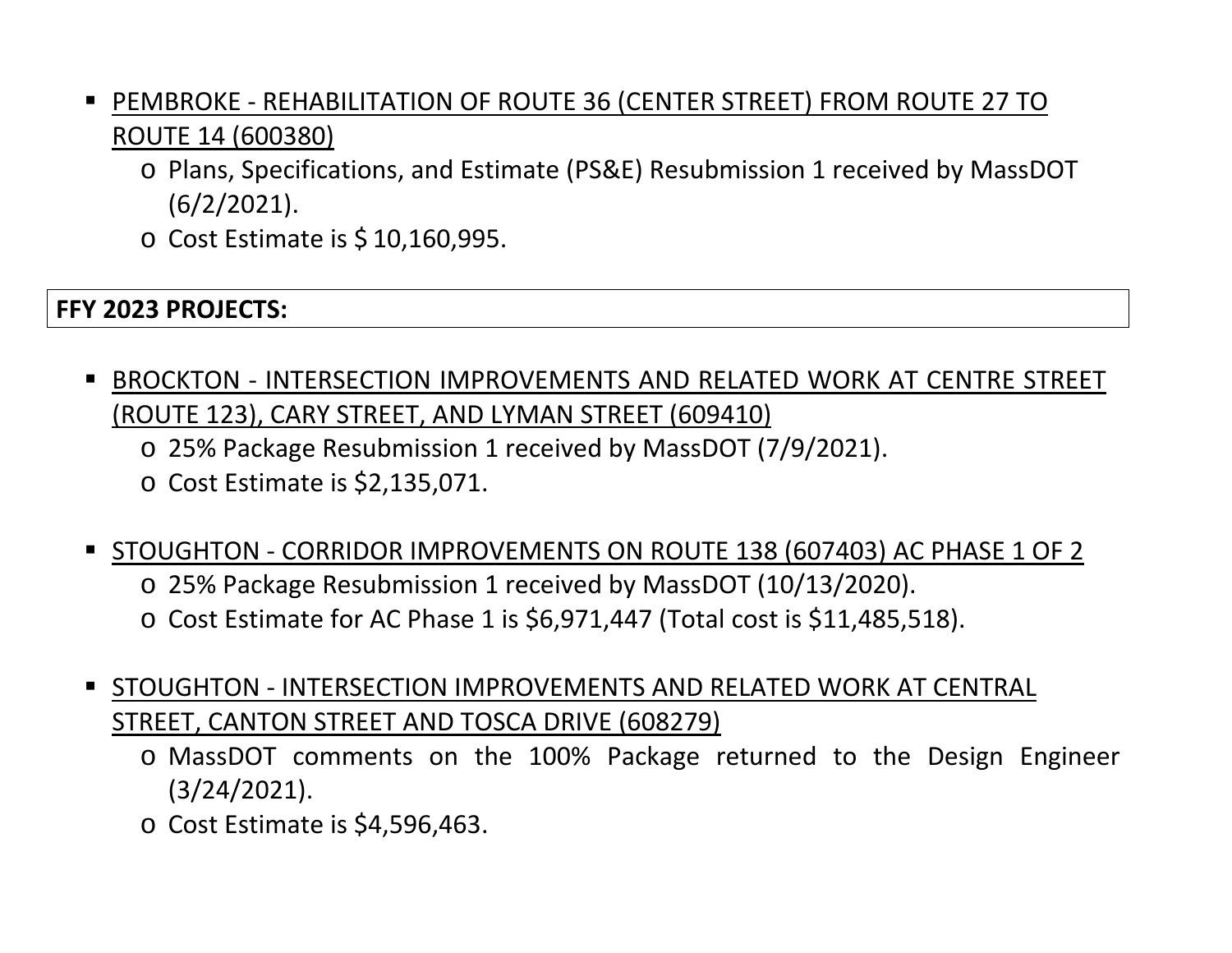- PEMBROKE REHABILITATION OF ROUTE 36 (CENTER STREET) FROM ROUTE 27 TO ROUTE 14 (600380)
	- o Plans, Specifications, and Estimate (PS&E) Resubmission 1 received by MassDOT (6/2/2021).
	- o Cost Estimate is \$ 10,160,995.

#### **FFY 2023 PROJECTS:**

- BROCKTON INTERSECTION IMPROVEMENTS AND RELATED WORK AT CENTRE STREET (ROUTE 123), CARY STREET, AND LYMAN STREET (609410)
	- o 25% Package Resubmission 1 received by MassDOT (7/9/2021).
	- o Cost Estimate is \$2,135,071.
- STOUGHTON CORRIDOR IMPROVEMENTS ON ROUTE 138 (607403) AC PHASE 1 OF 2
	- o 25% Package Resubmission 1 received by MassDOT (10/13/2020).
	- o Cost Estimate for AC Phase 1 is \$6,971,447 (Total cost is \$11,485,518).
- STOUGHTON INTERSECTION IMPROVEMENTS AND RELATED WORK AT CENTRAL STREET, CANTON STREET AND TOSCA DRIVE (608279)
	- o MassDOT comments on the 100% Package returned to the Design Engineer (3/24/2021).
	- o Cost Estimate is \$4,596,463.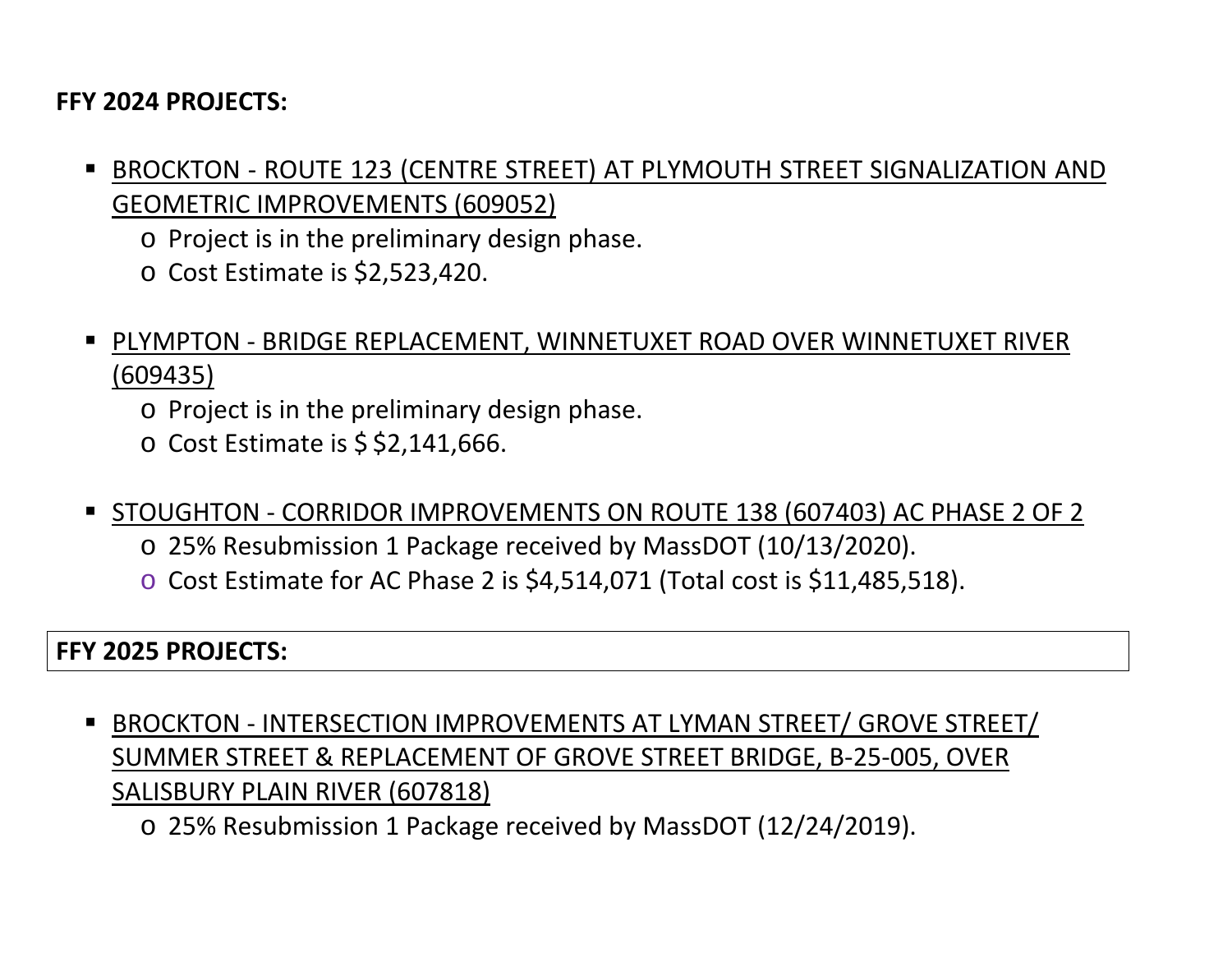#### **FFY 2024 PROJECTS:**

- BROCKTON ROUTE 123 (CENTRE STREET) AT PLYMOUTH STREET SIGNALIZATION AND GEOMETRIC IMPROVEMENTS (609052)
	- o Project is in the preliminary design phase.
	- o Cost Estimate is \$2,523,420.
- PLYMPTON BRIDGE REPLACEMENT, WINNETUXET ROAD OVER WINNETUXET RIVER (609435)
	- o Project is in the preliminary design phase.
	- $\circ$  Cost Estimate is \$ \$2,141,666.
- STOUGHTON CORRIDOR IMPROVEMENTS ON ROUTE 138 (607403) AC PHASE 2 OF 2
	- o 25% Resubmission 1 Package received by MassDOT (10/13/2020).
	- o Cost Estimate for AC Phase 2 is \$4,514,071 (Total cost is \$11,485,518).

#### **FFY 2025 PROJECTS:**

- BROCKTON INTERSECTION IMPROVEMENTS AT LYMAN STREET/ GROVE STREET/ SUMMER STREET & REPLACEMENT OF GROVE STREET BRIDGE, B-25-005, OVER SALISBURY PLAIN RIVER (607818)
	- o 25% Resubmission 1 Package received by MassDOT (12/24/2019).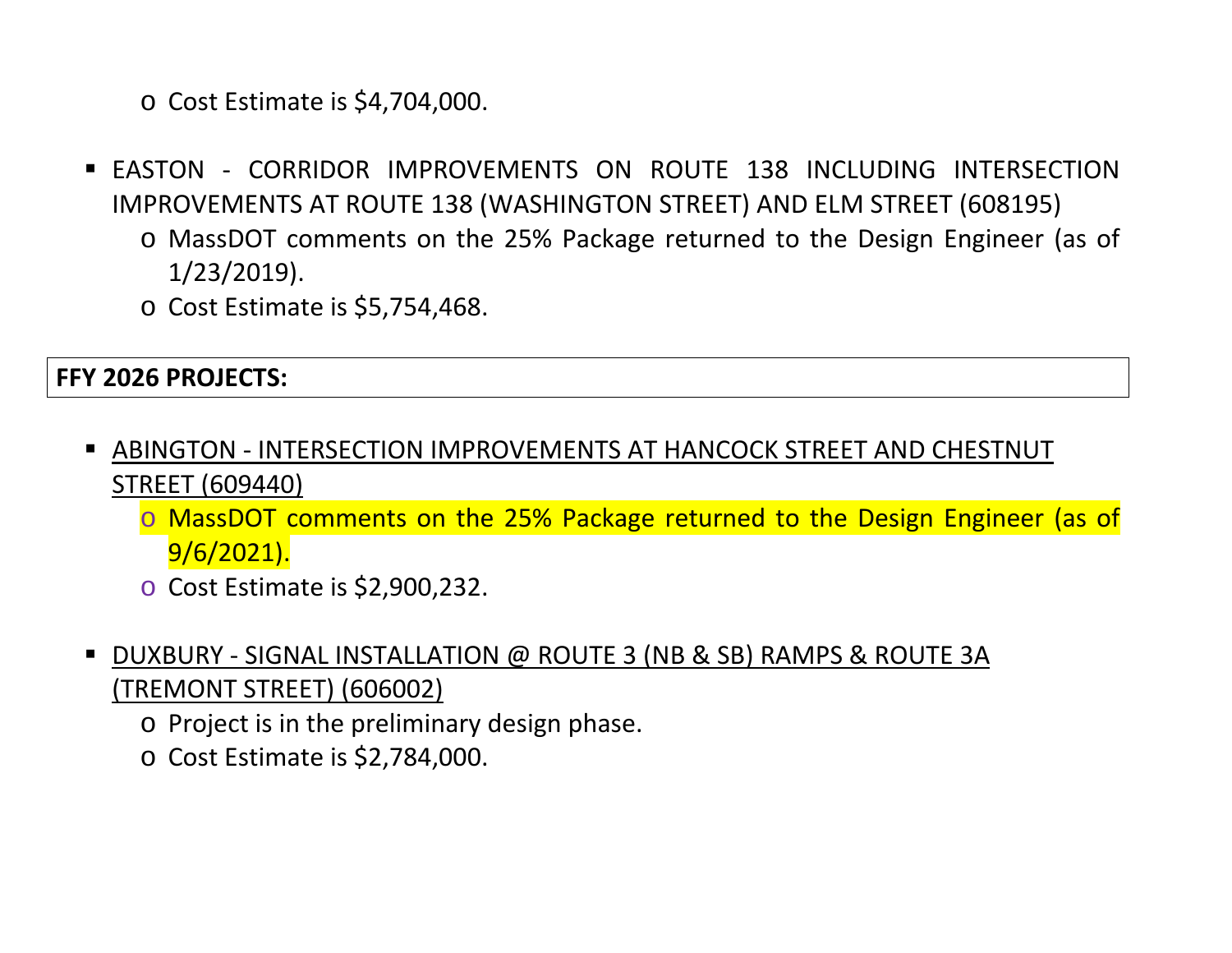o Cost Estimate is \$4,704,000.

- **EXAMPLE CORRIDOR IMPROVEMENTS ON ROUTE 138 INCLUDING INTERSECTION** IMPROVEMENTS AT ROUTE 138 (WASHINGTON STREET) AND ELM STREET (608195)
	- o MassDOT comments on the 25% Package returned to the Design Engineer (as of 1/23/2019).
	- o Cost Estimate is \$5,754,468.

#### **FFY 2026 PROJECTS:**

- ABINGTON INTERSECTION IMPROVEMENTS AT HANCOCK STREET AND CHESTNUT STREET (609440)
	- o MassDOT comments on the 25% Package returned to the Design Engineer (as of 9/6/2021).
	- o Cost Estimate is \$2,900,232.
- DUXBURY SIGNAL INSTALLATION @ ROUTE 3 (NB & SB) RAMPS & ROUTE 3A (TREMONT STREET) (606002)
	- o Project is in the preliminary design phase.
	- o Cost Estimate is \$2,784,000.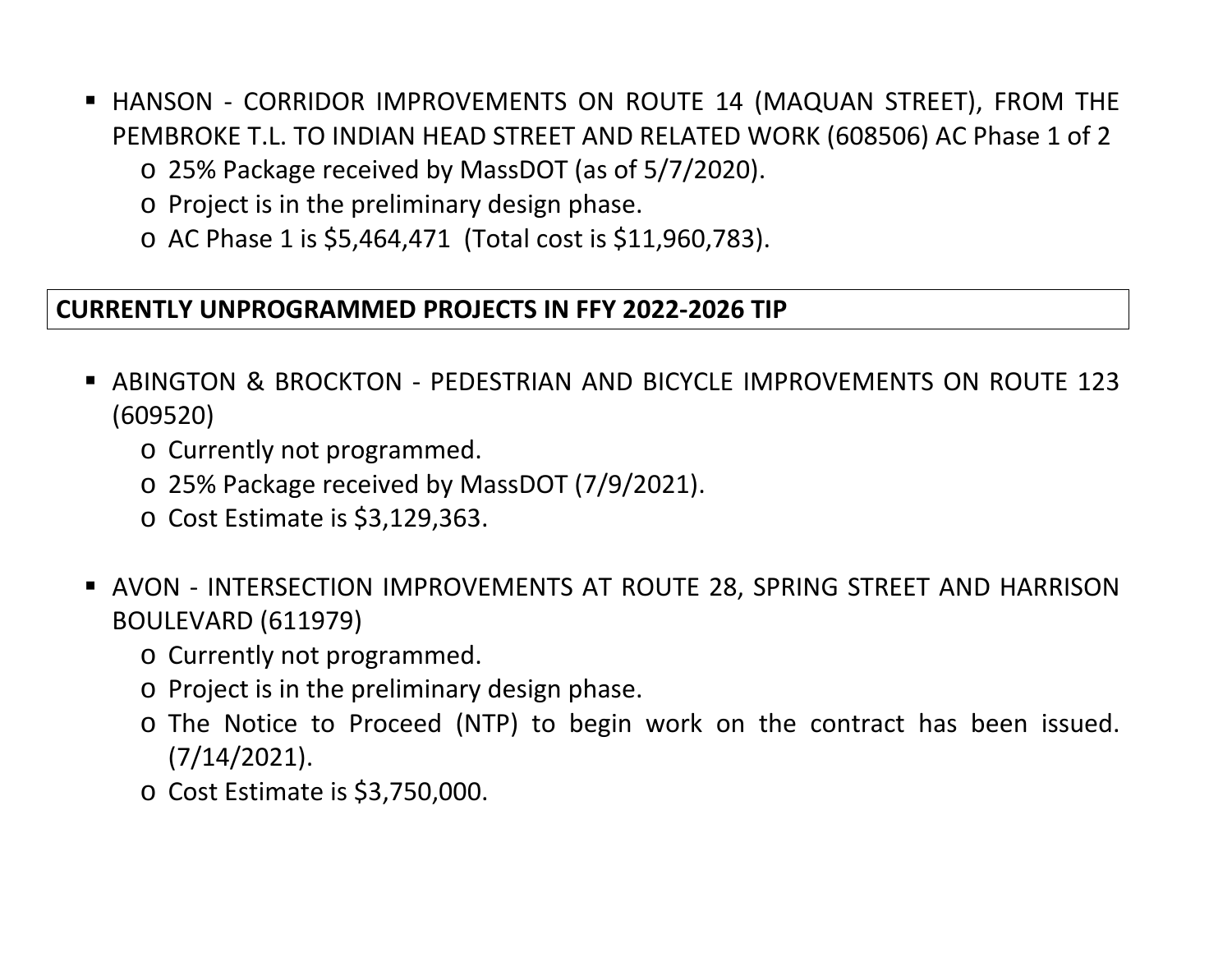- HANSON CORRIDOR IMPROVEMENTS ON ROUTE 14 (MAQUAN STREET), FROM THE PEMBROKE T.L. TO INDIAN HEAD STREET AND RELATED WORK (608506) AC Phase 1 of 2
	- o 25% Package received by MassDOT (as of 5/7/2020).
	- o Project is in the preliminary design phase.
	- o AC Phase 1 is \$5,464,471 (Total cost is \$11,960,783).

#### **CURRENTLY UNPROGRAMMED PROJECTS IN FFY 2022-2026 TIP**

- ABINGTON & BROCKTON PEDESTRIAN AND BICYCLE IMPROVEMENTS ON ROUTE 123 (609520)
	- o Currently not programmed.
	- o 25% Package received by MassDOT (7/9/2021).
	- o Cost Estimate is \$3,129,363.
- AVON INTERSECTION IMPROVEMENTS AT ROUTE 28, SPRING STREET AND HARRISON BOULEVARD (611979)
	- o Currently not programmed.
	- o Project is in the preliminary design phase.
	- o The Notice to Proceed (NTP) to begin work on the contract has been issued. (7/14/2021).
	- o Cost Estimate is \$3,750,000.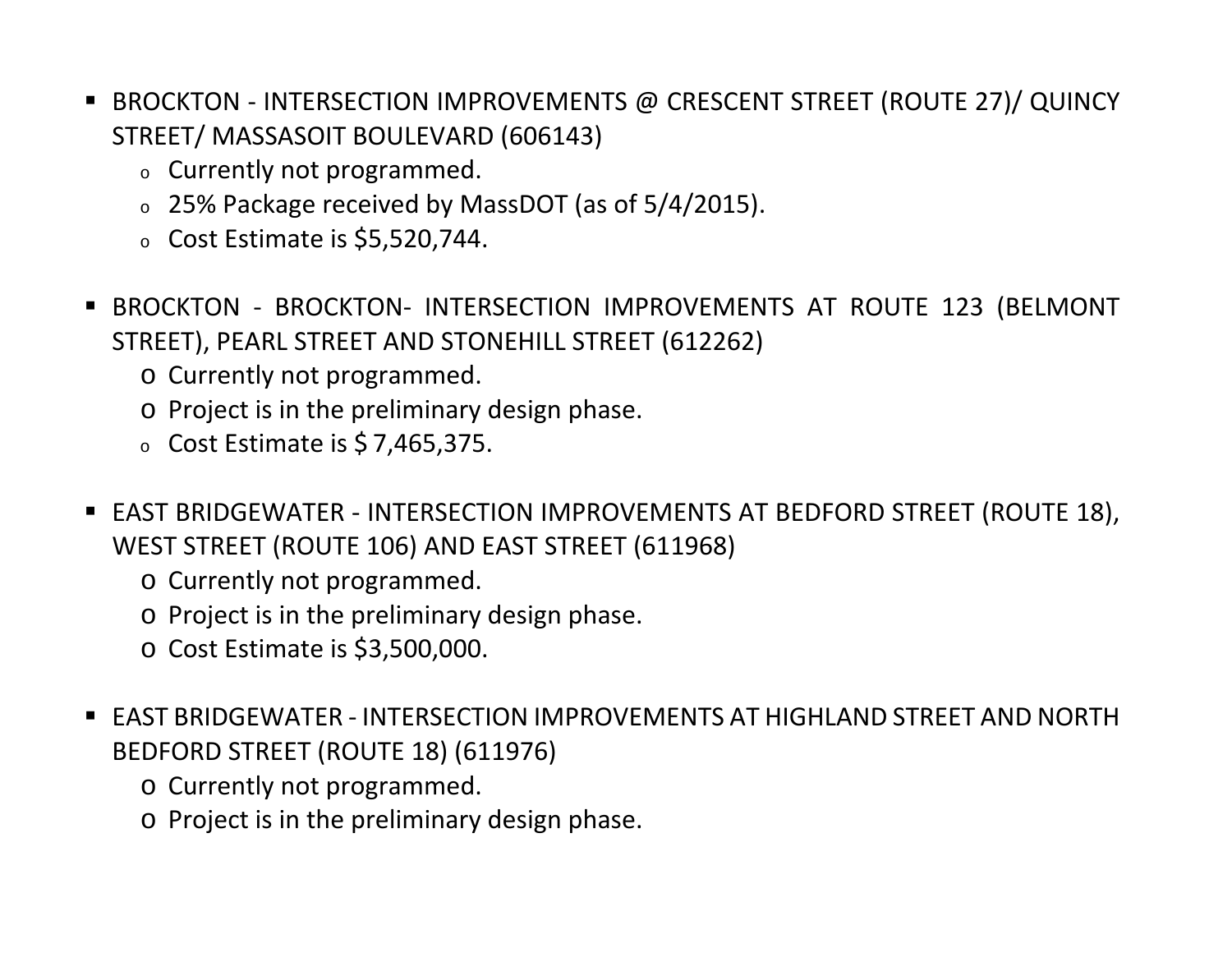- BROCKTON INTERSECTION IMPROVEMENTS @ CRESCENT STREET (ROUTE 27)/ QUINCY STREET/ MASSASOIT BOULEVARD (606143)
	- <sup>o</sup> Currently not programmed.
	- <sup>o</sup> 25% Package received by MassDOT (as of 5/4/2015).
	- $\circ$  Cost Estimate is \$5,520,744.
- BROCKTON BROCKTON- INTERSECTION IMPROVEMENTS AT ROUTE 123 (BELMONT STREET), PEARL STREET AND STONEHILL STREET (612262)
	- o Currently not programmed.
	- o Project is in the preliminary design phase.
	- $\circ$  Cost Estimate is \$7,465,375.
- EAST BRIDGEWATER INTERSECTION IMPROVEMENTS AT BEDFORD STREET (ROUTE 18), WEST STREET (ROUTE 106) AND EAST STREET (611968)
	- o Currently not programmed.
	- o Project is in the preliminary design phase.
	- o Cost Estimate is \$3,500,000.
- EAST BRIDGEWATER INTERSECTION IMPROVEMENTS AT HIGHLAND STREET AND NORTH BEDFORD STREET (ROUTE 18) (611976)
	- o Currently not programmed.
	- o Project is in the preliminary design phase.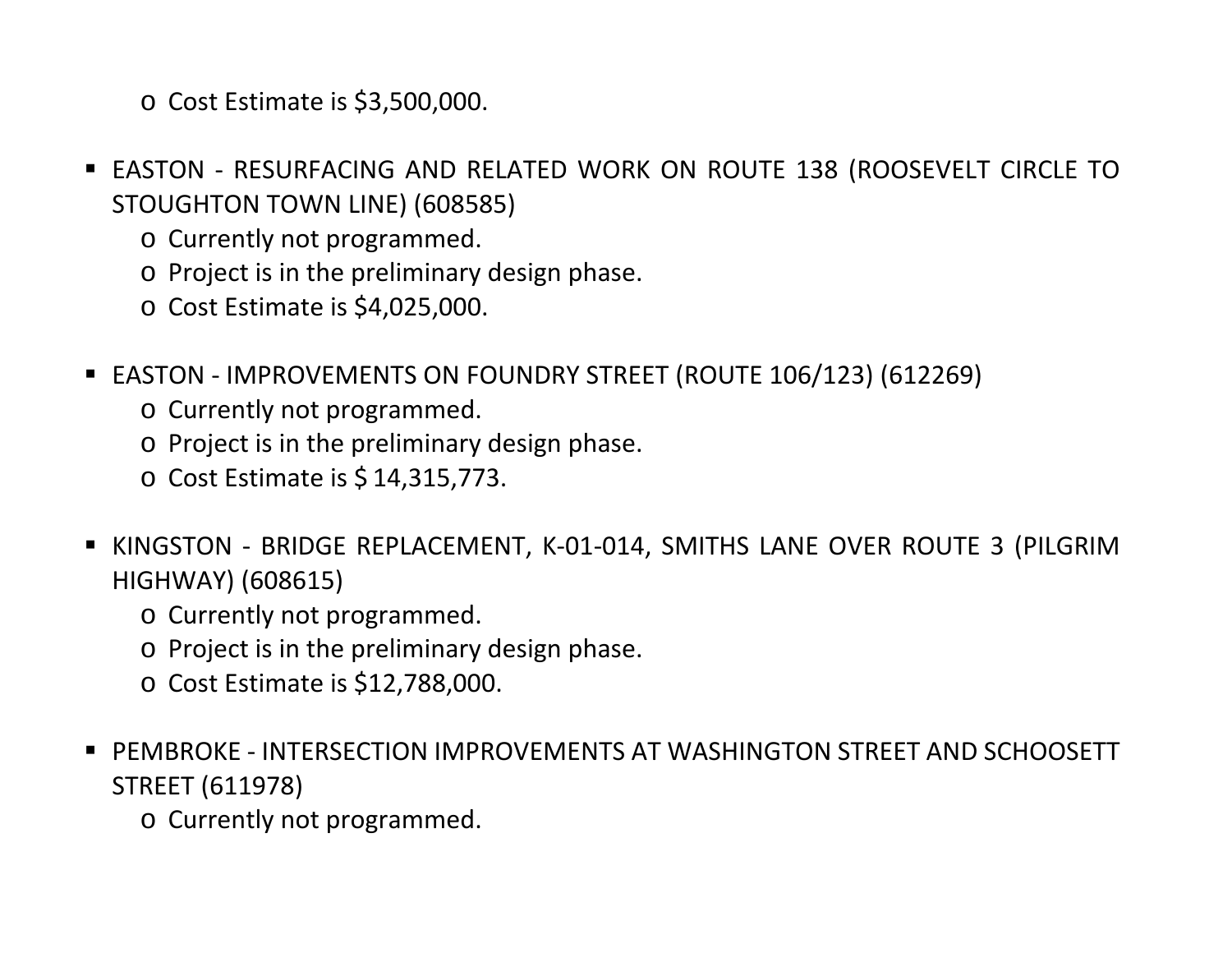o Cost Estimate is \$3,500,000.

- EASTON RESURFACING AND RELATED WORK ON ROUTE 138 (ROOSEVELT CIRCLE TO STOUGHTON TOWN LINE) (608585)
	- o Currently not programmed.
	- o Project is in the preliminary design phase.
	- o Cost Estimate is \$4,025,000.
- EASTON IMPROVEMENTS ON FOUNDRY STREET (ROUTE 106/123) (612269)
	- o Currently not programmed.
	- o Project is in the preliminary design phase.
	- o Cost Estimate is \$ 14,315,773.
- KINGSTON BRIDGE REPLACEMENT, K-01-014, SMITHS LANE OVER ROUTE 3 (PILGRIM HIGHWAY) (608615)
	- o Currently not programmed.
	- o Project is in the preliminary design phase.
	- o Cost Estimate is \$12,788,000.
- PEMBROKE INTERSECTION IMPROVEMENTS AT WASHINGTON STREET AND SCHOOSETT STREET (611978)
	- o Currently not programmed.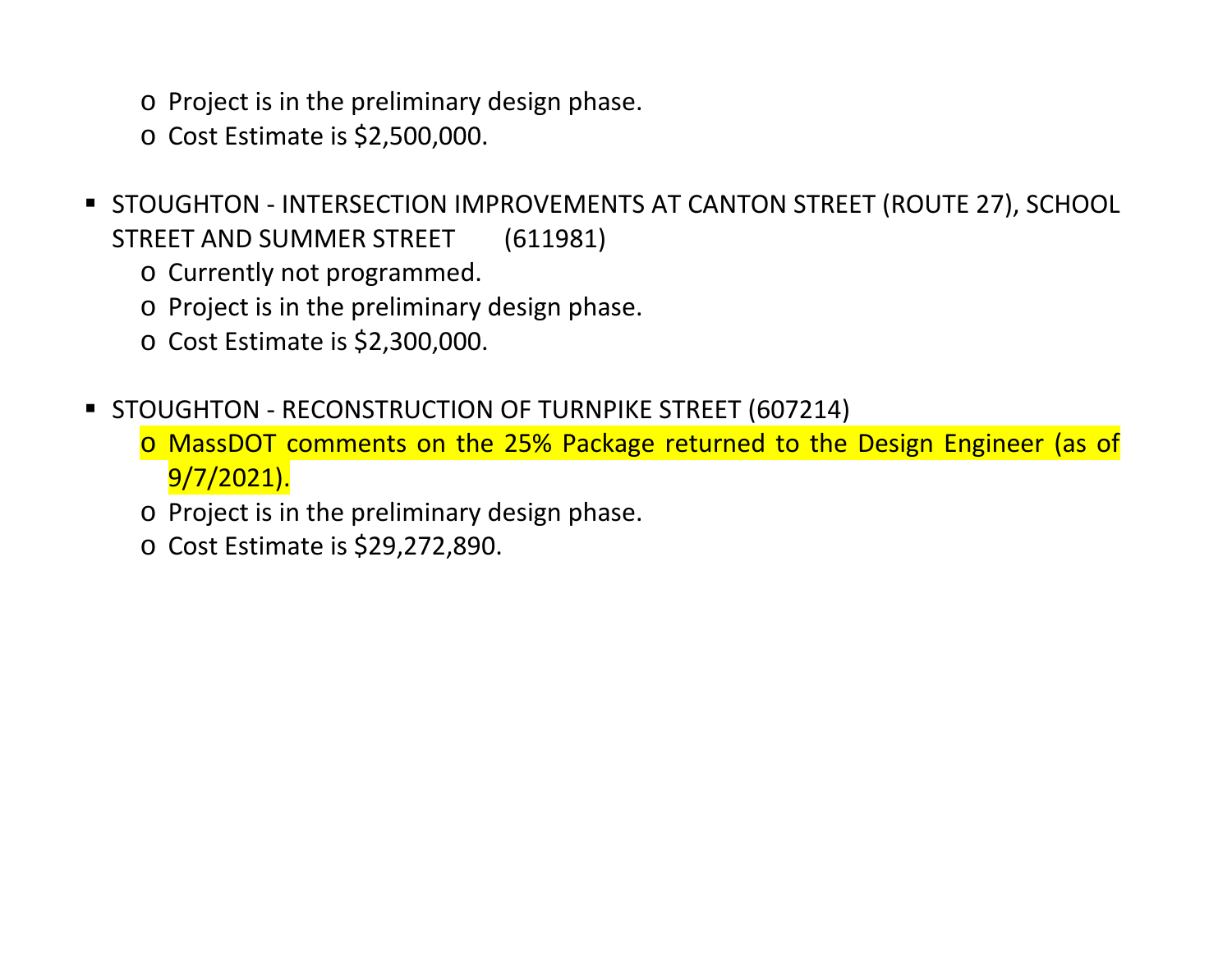- o Project is in the preliminary design phase.
- o Cost Estimate is \$2,500,000.
- **STOUGHTON INTERSECTION IMPROVEMENTS AT CANTON STREET (ROUTE 27), SCHOOL** STREET AND SUMMER STREET (611981)
	- o Currently not programmed.
	- o Project is in the preliminary design phase.
	- o Cost Estimate is \$2,300,000.
- **STOUGHTON RECONSTRUCTION OF TURNPIKE STREET (607214)** 
	- o MassDOT comments on the 25% Package returned to the Design Engineer (as of 9/7/2021).
	- o Project is in the preliminary design phase.
	- o Cost Estimate is \$29,272,890.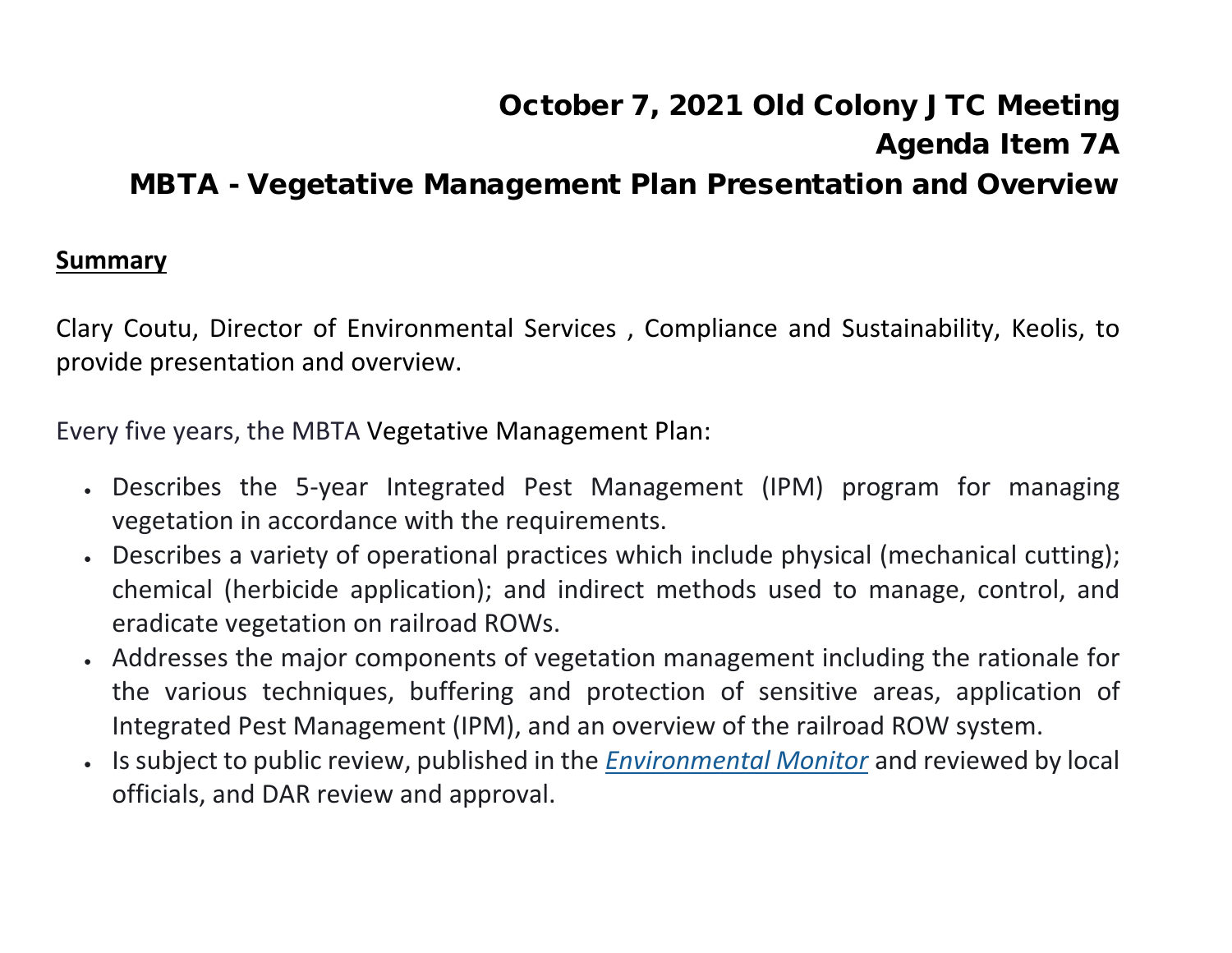### October 7, 2021 Old Colony JTC Meeting Agenda Item 7A MBTA - Vegetative Management Plan Presentation and Overview

#### **Summary**

Clary Coutu, Director of Environmental Services , Compliance and Sustainability, Keolis, to provide presentation and overview.

Every five years, the MBTA Vegetative Management Plan:

- Describes the 5-year Integrated Pest Management (IPM) program for managing vegetation in accordance with the requirements.
- Describes a variety of operational practices which include physical (mechanical cutting); chemical (herbicide application); and indirect methods used to manage, control, and eradicate vegetation on railroad ROWs.
- Addresses the major components of vegetation management including the rationale for the various techniques, buffering and protection of sensitive areas, application of Integrated Pest Management (IPM), and an overview of the railroad ROW system.
- Is subject to public review, published in the *[Environmental Monitor](http://eeaonline.eea.state.ma.us/eea/emepa/emonitor.aspx)* and reviewed by local officials, and DAR review and approval.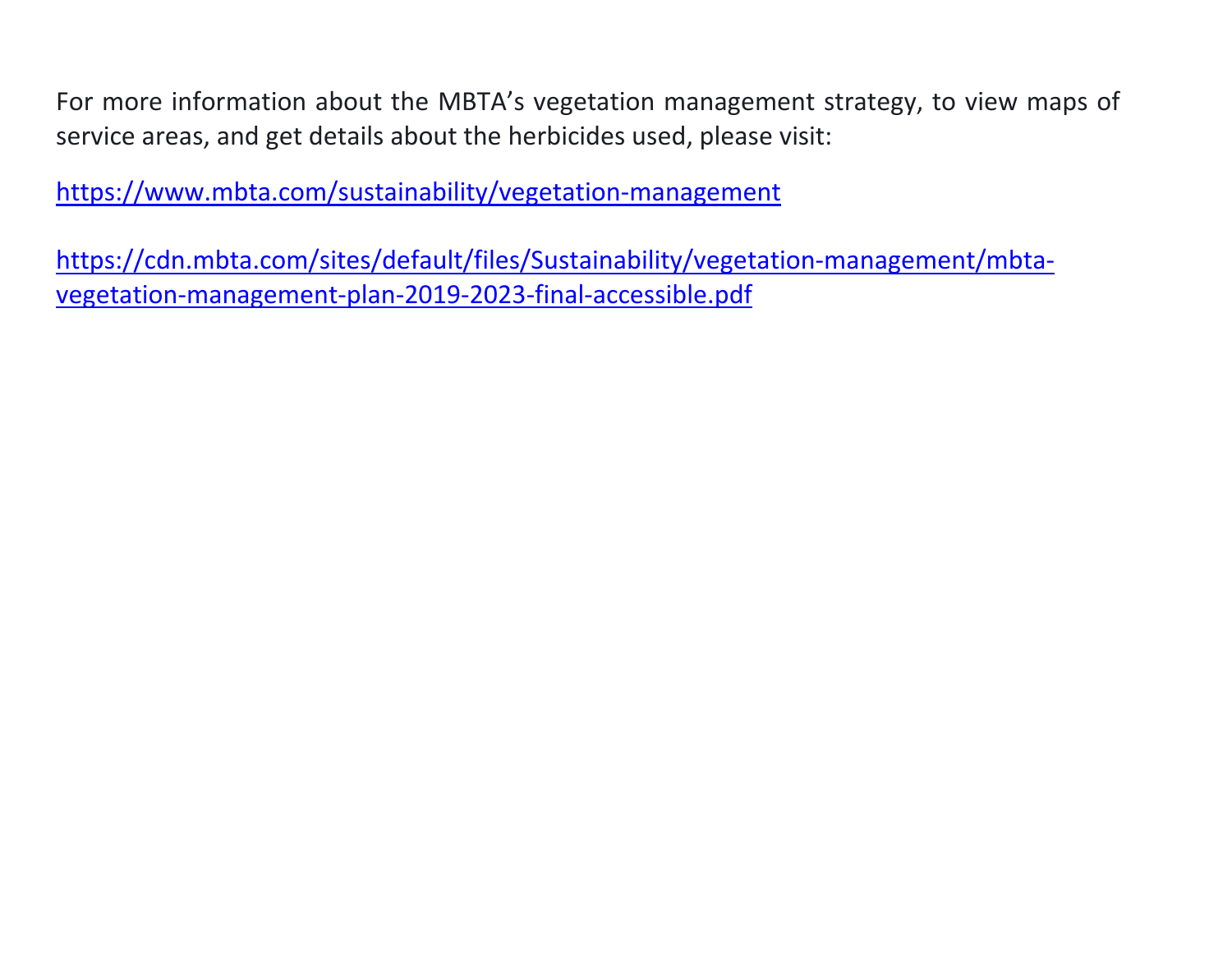For more information about the MBTA's vegetation management strategy, to view maps of service areas, and get details about the herbicides used, please visit:

<https://www.mbta.com/sustainability/vegetation-management>

[https://cdn.mbta.com/sites/default/files/Sustainability/vegetation-management/mbta](https://cdn.mbta.com/sites/default/files/Sustainability/vegetation-management/mbta-vegetation-management-plan-2019-2023-final-accessible.pdf)[vegetation-management-plan-2019-2023-final-accessible.pdf](https://cdn.mbta.com/sites/default/files/Sustainability/vegetation-management/mbta-vegetation-management-plan-2019-2023-final-accessible.pdf)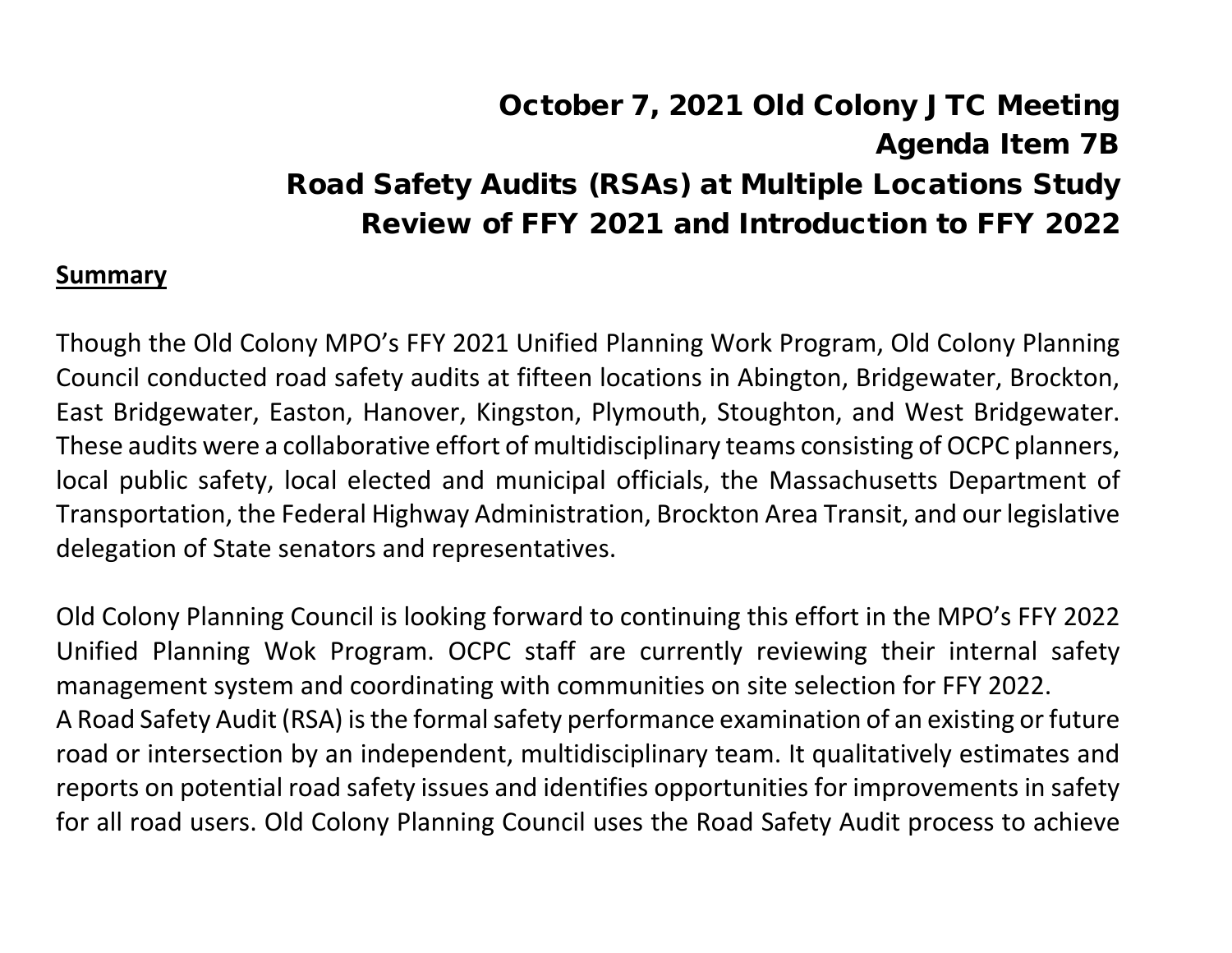# October 7, 2021 Old Colony JTC Meeting Agenda Item 7B Road Safety Audits (RSAs) at Multiple Locations Study Review of FFY 2021 and Introduction to FFY 2022

#### **Summary**

Though the Old Colony MPO's FFY 2021 Unified Planning Work Program, Old Colony Planning Council conducted road safety audits at fifteen locations in Abington, Bridgewater, Brockton, East Bridgewater, Easton, Hanover, Kingston, Plymouth, Stoughton, and West Bridgewater. These audits were a collaborative effort of multidisciplinary teams consisting of OCPC planners, local public safety, local elected and municipal officials, the Massachusetts Department of Transportation, the Federal Highway Administration, Brockton Area Transit, and our legislative delegation of State senators and representatives.

Old Colony Planning Council is looking forward to continuing this effort in the MPO's FFY 2022 Unified Planning Wok Program. OCPC staff are currently reviewing their internal safety management system and coordinating with communities on site selection for FFY 2022. A Road Safety Audit (RSA) is the formal safety performance examination of an existing or future road or intersection by an independent, multidisciplinary team. It qualitatively estimates and reports on potential road safety issues and identifies opportunities for improvements in safety for all road users. Old Colony Planning Council uses the Road Safety Audit process to achieve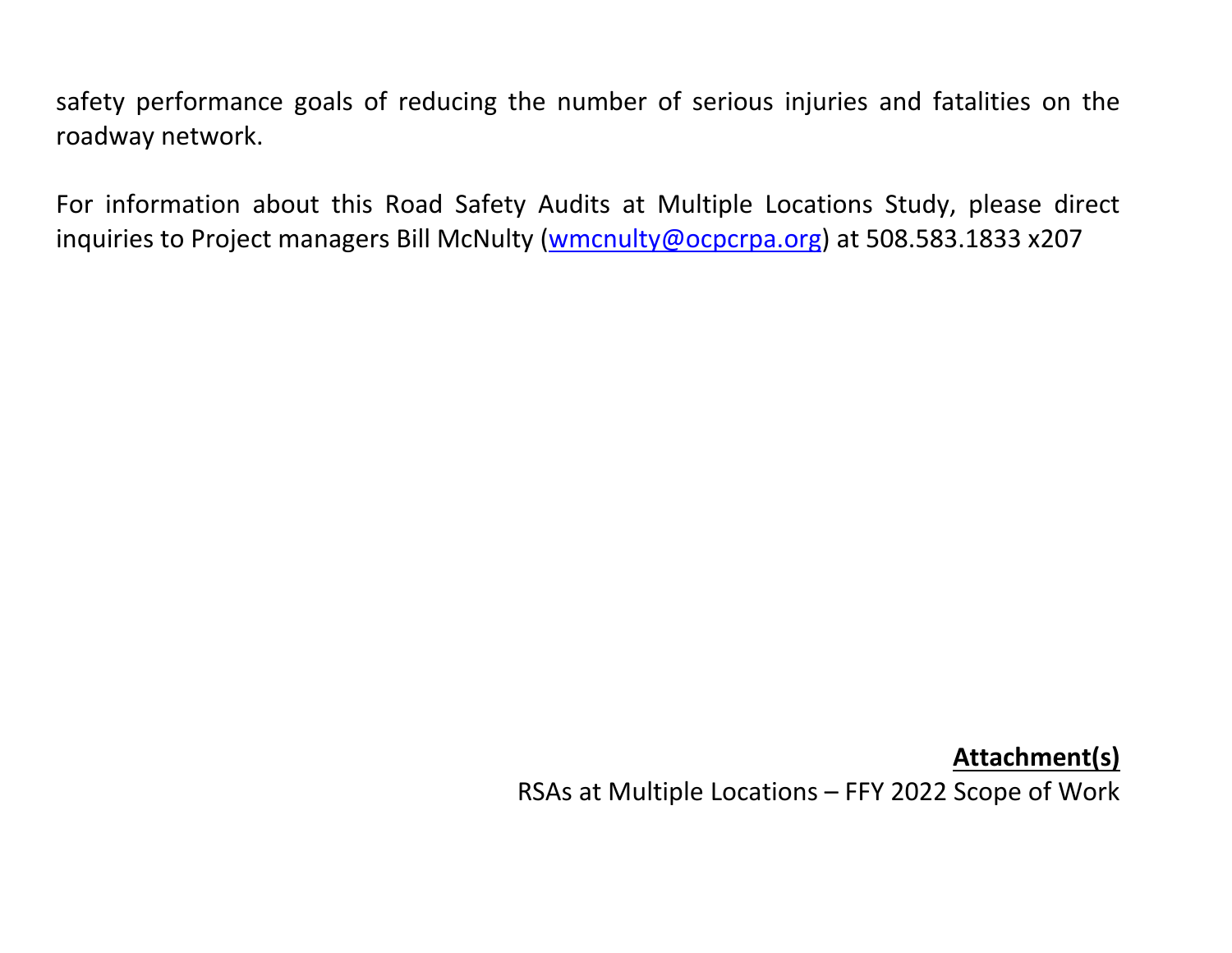safety performance goals of reducing the number of serious injuries and fatalities on the roadway network.

For information about this Road Safety Audits at Multiple Locations Study, please direct inquiries to Project managers Bill McNulty [\(wmcnulty@ocpcrpa.org\)](mailto:wmcnulty@ocpcrpa.org) at 508.583.1833 x207

**Attachment(s)**

RSAs at Multiple Locations – FFY 2022 Scope of Work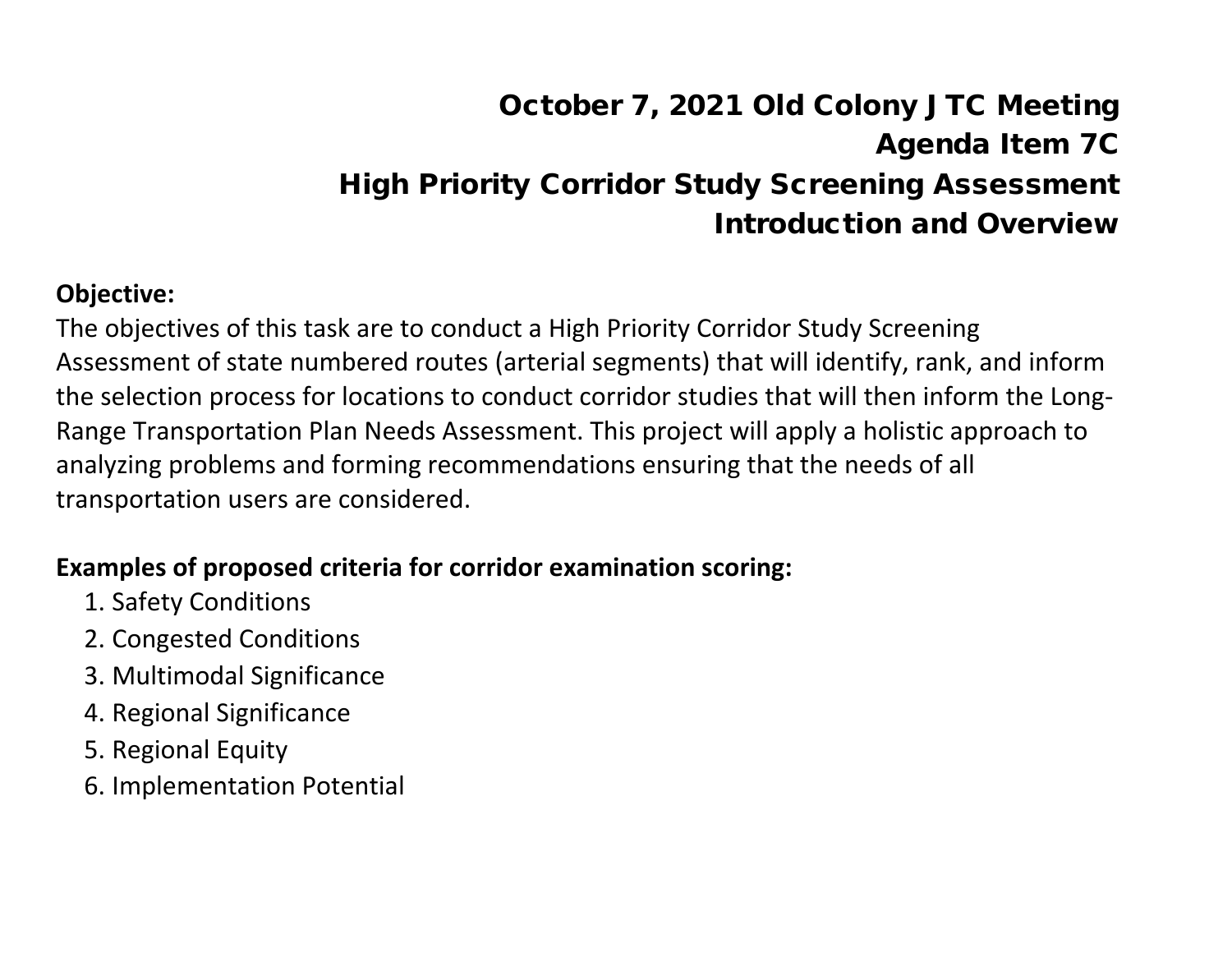# October 7, 2021 Old Colony JTC Meeting Agenda Item 7C High Priority Corridor Study Screening Assessment Introduction and Overview

#### **Objective:**

The objectives of this task are to conduct a High Priority Corridor Study Screening Assessment of state numbered routes (arterial segments) that will identify, rank, and inform the selection process for locations to conduct corridor studies that will then inform the Long-Range Transportation Plan Needs Assessment. This project will apply a holistic approach to analyzing problems and forming recommendations ensuring that the needs of all transportation users are considered.

#### **Examples of proposed criteria for corridor examination scoring:**

- 1. Safety Conditions
- 2. Congested Conditions
- 3. Multimodal Significance
- 4. Regional Significance
- 5. Regional Equity
- 6. Implementation Potential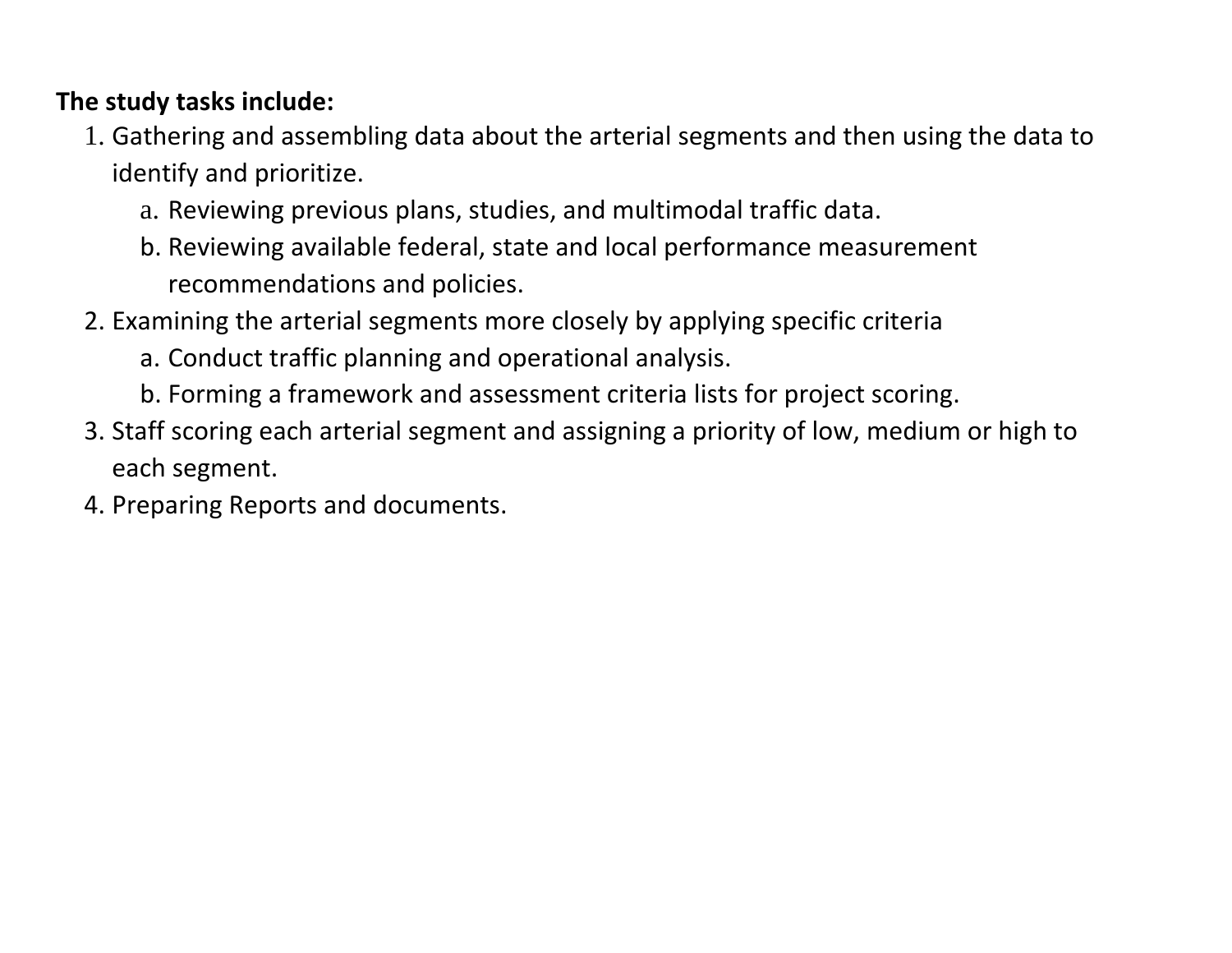#### **The study tasks include:**

- 1. Gathering and assembling data about the arterial segments and then using the data to identify and prioritize.
	- a. Reviewing previous plans, studies, and multimodal traffic data.
	- b. Reviewing available federal, state and local performance measurement recommendations and policies.
- 2. Examining the arterial segments more closely by applying specific criteria
	- a. Conduct traffic planning and operational analysis.
	- b. Forming a framework and assessment criteria lists for project scoring.
- 3. Staff scoring each arterial segment and assigning a priority of low, medium or high to each segment.
- 4. Preparing Reports and documents.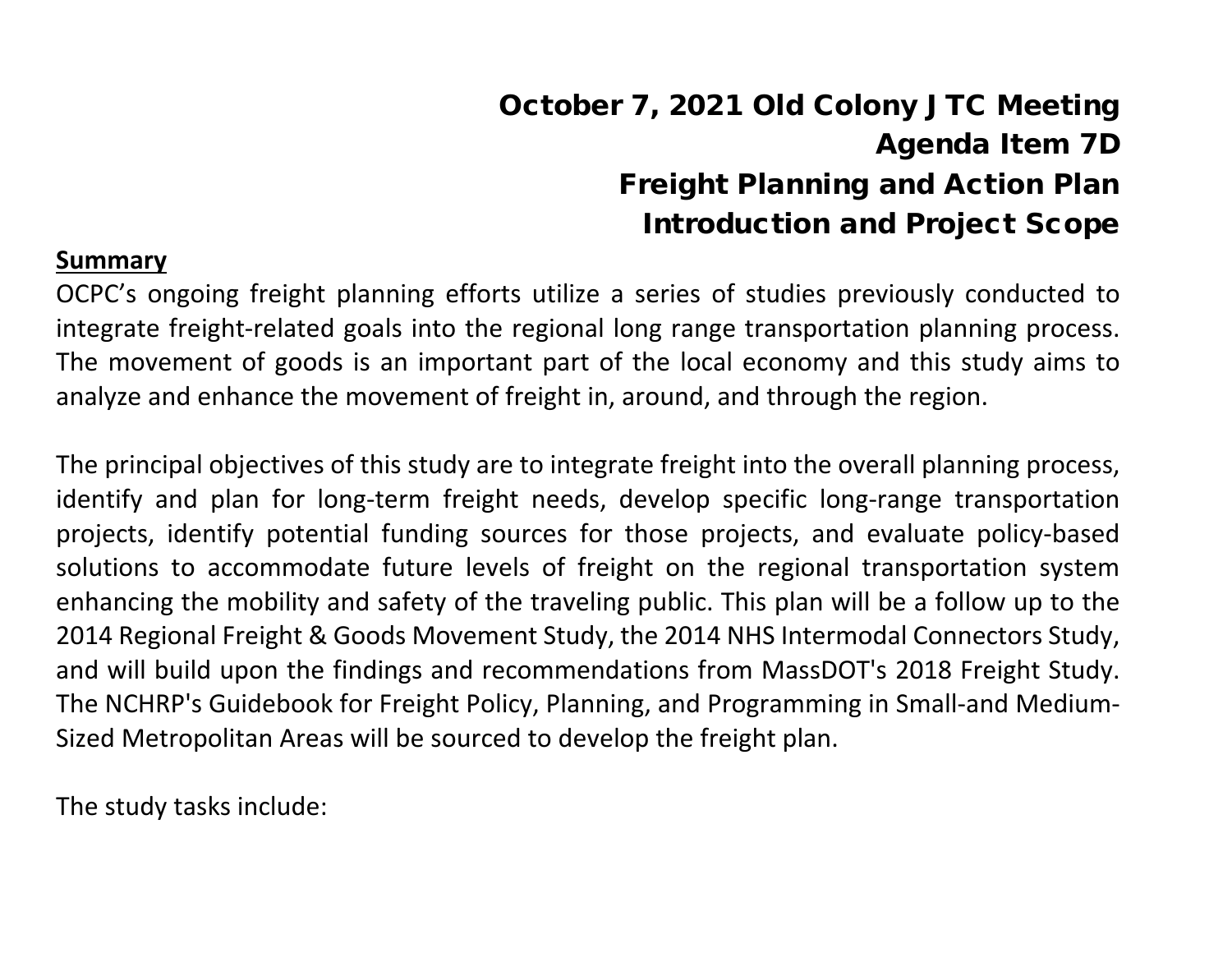# October 7, 2021 Old Colony JTC Meeting Agenda Item 7D Freight Planning and Action Plan Introduction and Project Scope

#### **Summary**

OCPC's ongoing freight planning efforts utilize a series of studies previously conducted to integrate freight-related goals into the regional long range transportation planning process. The movement of goods is an important part of the local economy and this study aims to analyze and enhance the movement of freight in, around, and through the region.

The principal objectives of this study are to integrate freight into the overall planning process, identify and plan for long-term freight needs, develop specific long-range transportation projects, identify potential funding sources for those projects, and evaluate policy-based solutions to accommodate future levels of freight on the regional transportation system enhancing the mobility and safety of the traveling public. This plan will be a follow up to the 2014 Regional Freight & Goods Movement Study, the 2014 NHS Intermodal Connectors Study, and will build upon the findings and recommendations from MassDOT's 2018 Freight Study. The NCHRP's Guidebook for Freight Policy, Planning, and Programming in Small-and Medium-Sized Metropolitan Areas will be sourced to develop the freight plan.

The study tasks include: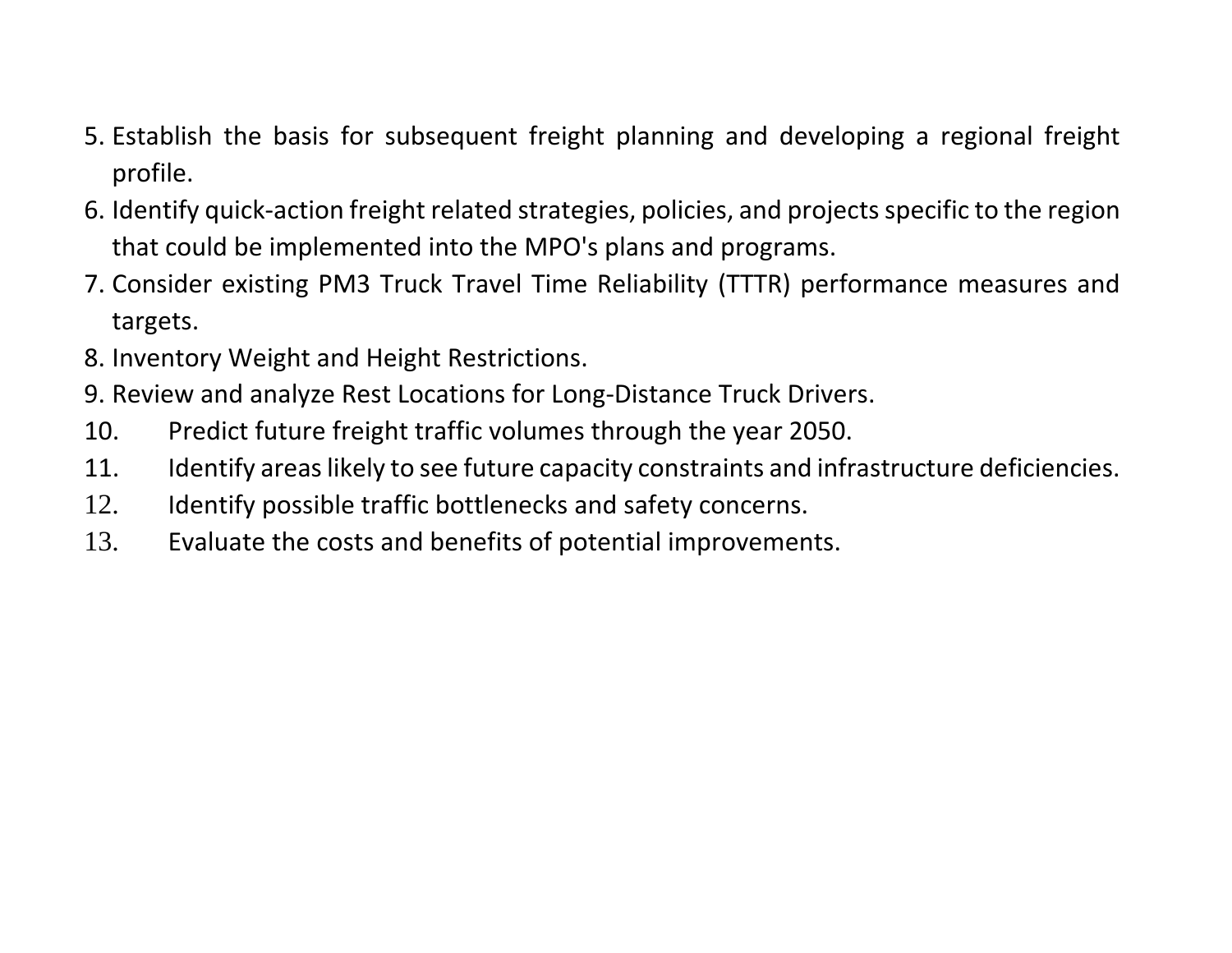- 5. Establish the basis for subsequent freight planning and developing a regional freight profile.
- 6. Identify quick-action freight related strategies, policies, and projects specific to the region that could be implemented into the MPO's plans and programs.
- 7. Consider existing PM3 Truck Travel Time Reliability (TTTR) performance measures and targets.
- 8. Inventory Weight and Height Restrictions.
- 9. Review and analyze Rest Locations for Long-Distance Truck Drivers.
- 10. Predict future freight traffic volumes through the year 2050.
- 11. Identify areas likely to see future capacity constraints and infrastructure deficiencies.
- 12. Identify possible traffic bottlenecks and safety concerns.
- 13. Evaluate the costs and benefits of potential improvements.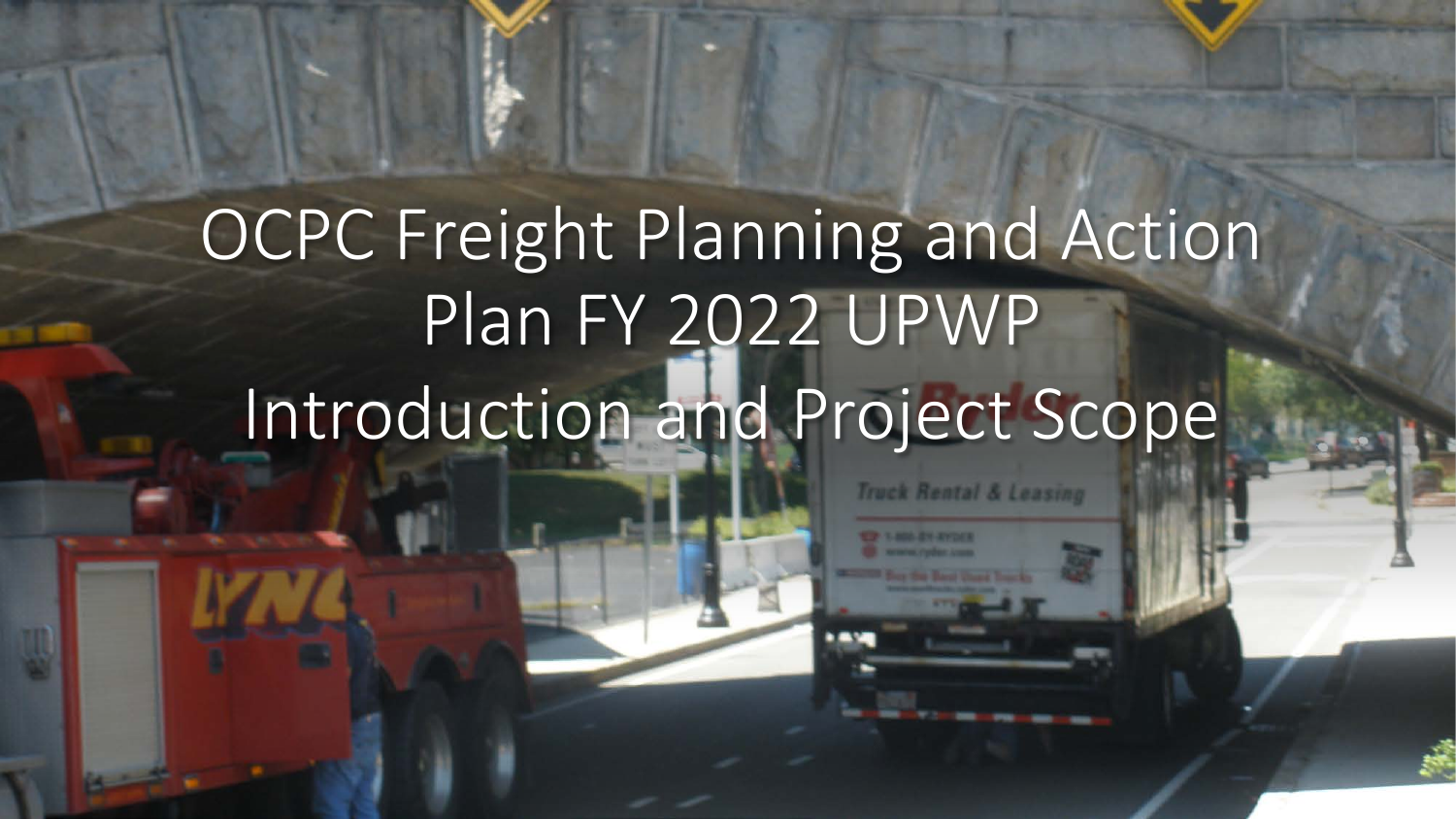# OCPC Freight Planning and Action Plan FY 2022 UPWP Introduction and Project Scope

**Truck Rental & Leasing**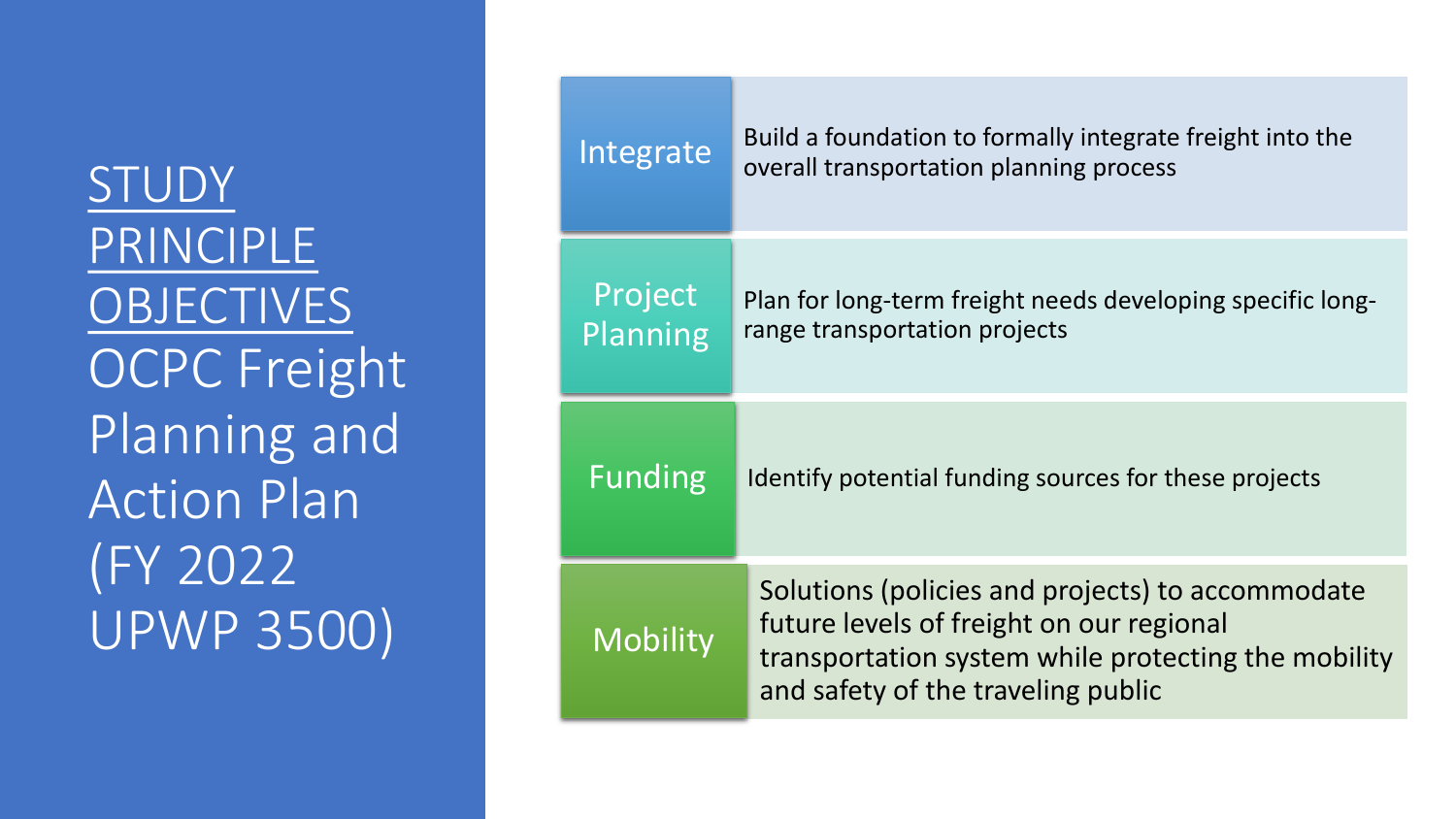STUDY PRINCIPLE **OBJECTIVES** OCPC Freight Planning and Action Plan (FY 2022 UPWP 3500)

| Integrate           | Build a foundation to formally integrate freight into the<br>overall transportation planning process                                                                                      |
|---------------------|-------------------------------------------------------------------------------------------------------------------------------------------------------------------------------------------|
| Project<br>Planning | Plan for long-term freight needs developing specific long-<br>range transportation projects                                                                                               |
| <b>Funding</b>      | Identify potential funding sources for these projects                                                                                                                                     |
| <b>Mobility</b>     | Solutions (policies and projects) to accommodate<br>future levels of freight on our regional<br>transportation system while protecting the mobility<br>and safety of the traveling public |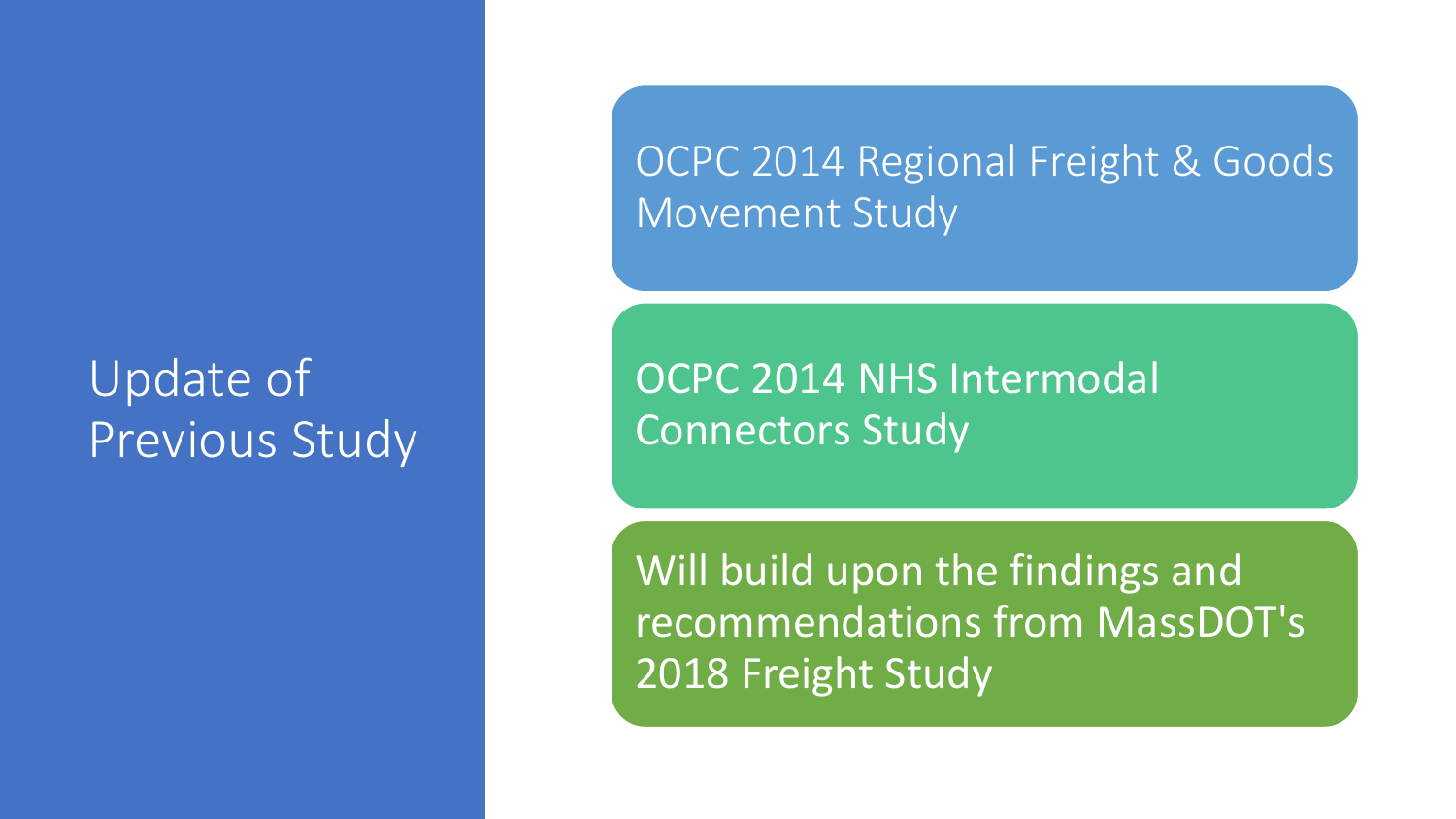# Update of Previous Study

OCPC 2014 Regional Freight & Goods Movement Study

OCPC 2014 NHS Intermodal Connectors Study

Will build upon the findings and recommendations from MassDOT's 2018 Freight Study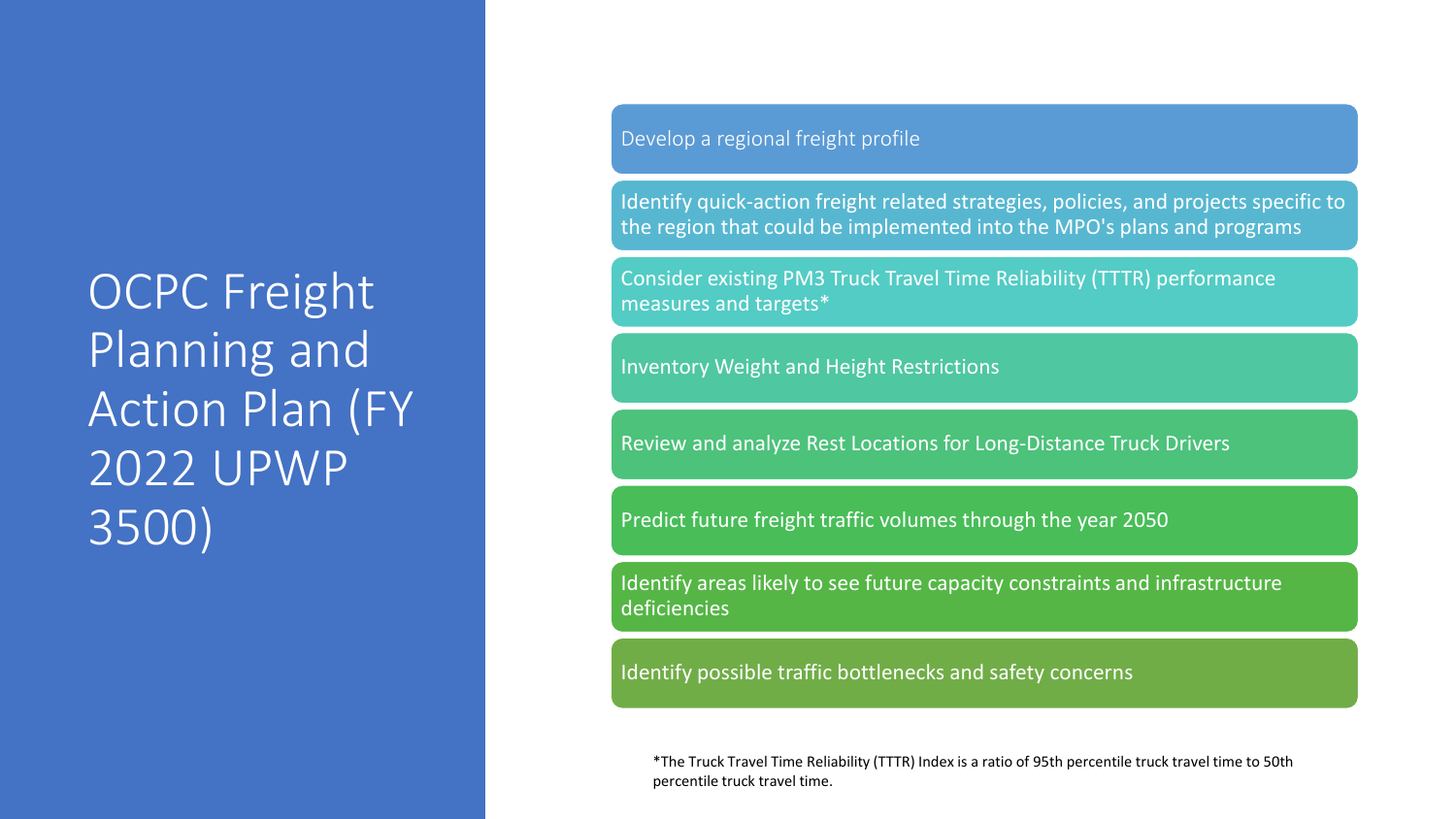OCPC Freight Planning and Action Plan (FY 2022 UPWP 3500)

Develop a regional freight profile

Identify quick-action freight related strategies, policies, and projects specific to the region that could be implemented into the MPO's plans and programs

Consider existing PM3 Truck Travel Time Reliability (TTTR) performance measures and targets\*

Inventory Weight and Height Restrictions

Review and analyze Rest Locations for Long-Distance Truck Drivers

Predict future freight traffic volumes through the year 2050

Identify areas likely to see future capacity constraints and infrastructure deficiencies

Identify possible traffic bottlenecks and safety concerns

\*The Truck Travel Time Reliability (TTTR) Index is a ratio of 95th percentile truck travel time to 50th percentile truck travel time.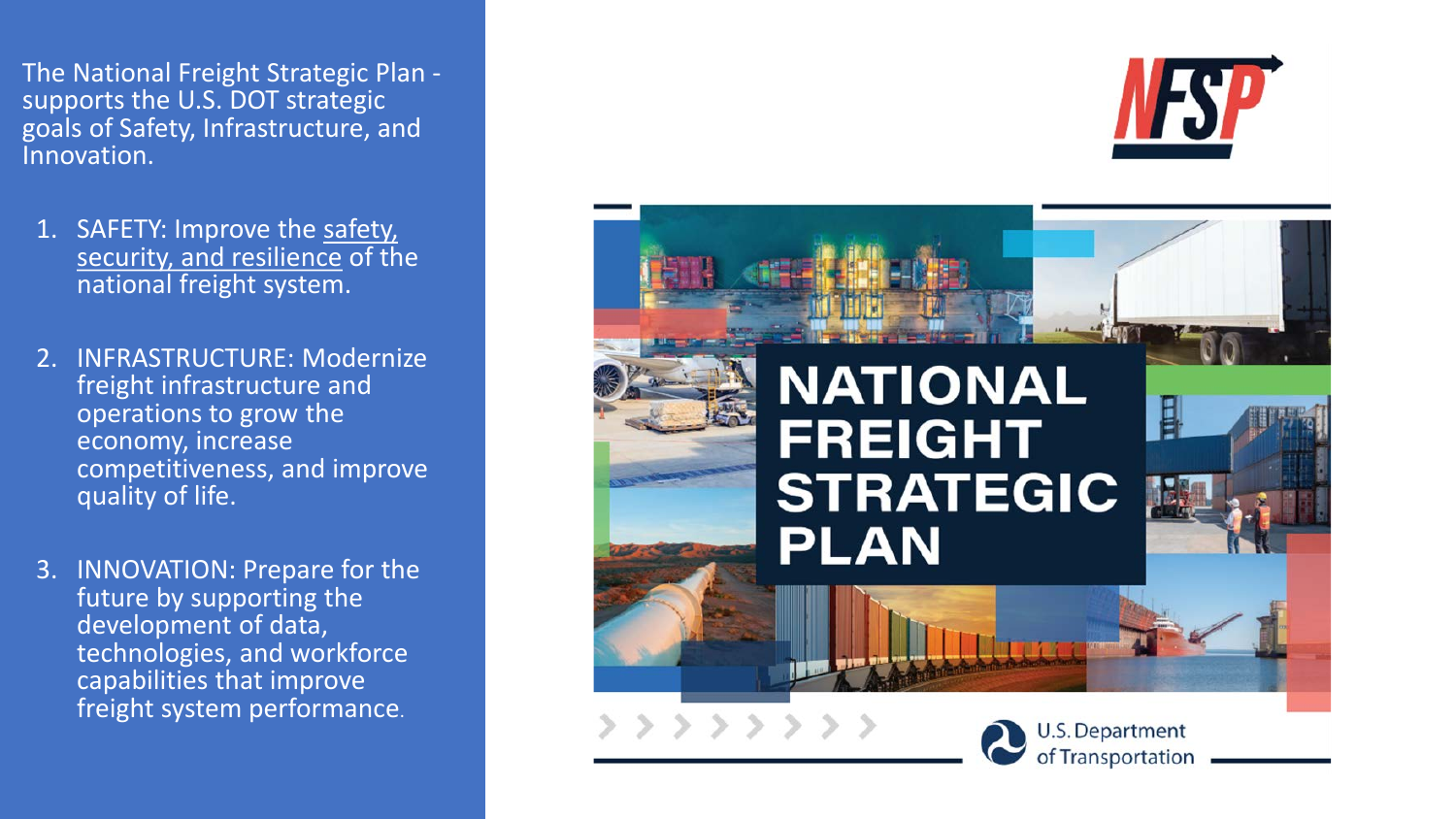The National Freight Strategic Plan - supports the U.S. DOT strategic goals of Safety, Infrastructure, and Innovation.

- 1. SAFETY: Improve the safety, security, and resilience of the national freight system.
- 2. INFRASTRUCTURE: Modernize freight infrastructure and operations to grow the economy, increase competitiveness, and improve quality of life.
- 3. INNOVATION: Prepare for the future by supporting the development of data, technologies, and workforce capabilities that improve freight system performance.





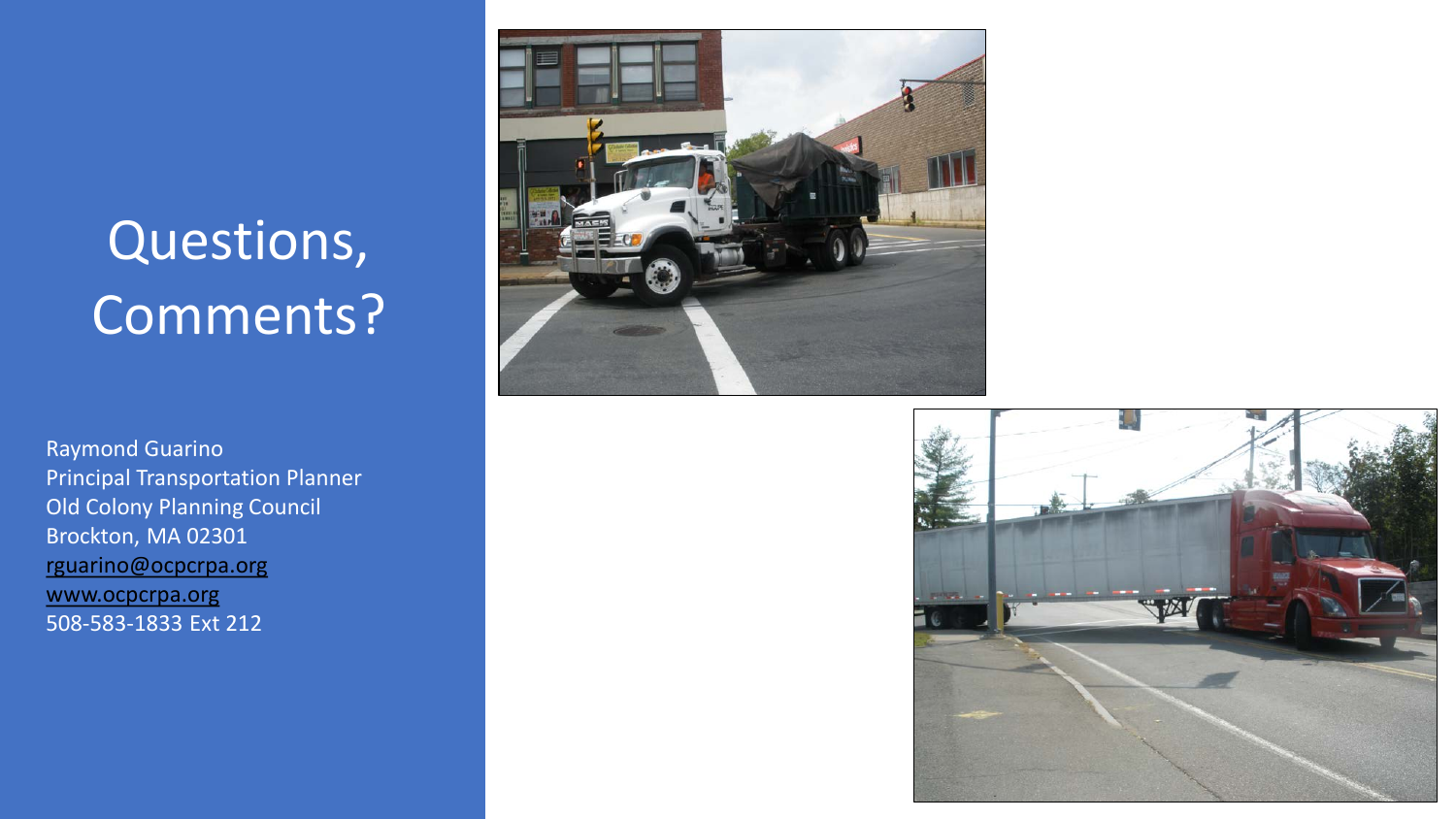# Questions, Comments?

Raymond Guarino Principal Transportation Planner Old Colony Planning Council Brockton, MA 02301 [rguarino@ocpcrpa.org](mailto:rguarino@ocpcrpa.org) [www.ocpcrpa.org](http://www.ocpcrpa.org/) 508-583-1833 Ext 212



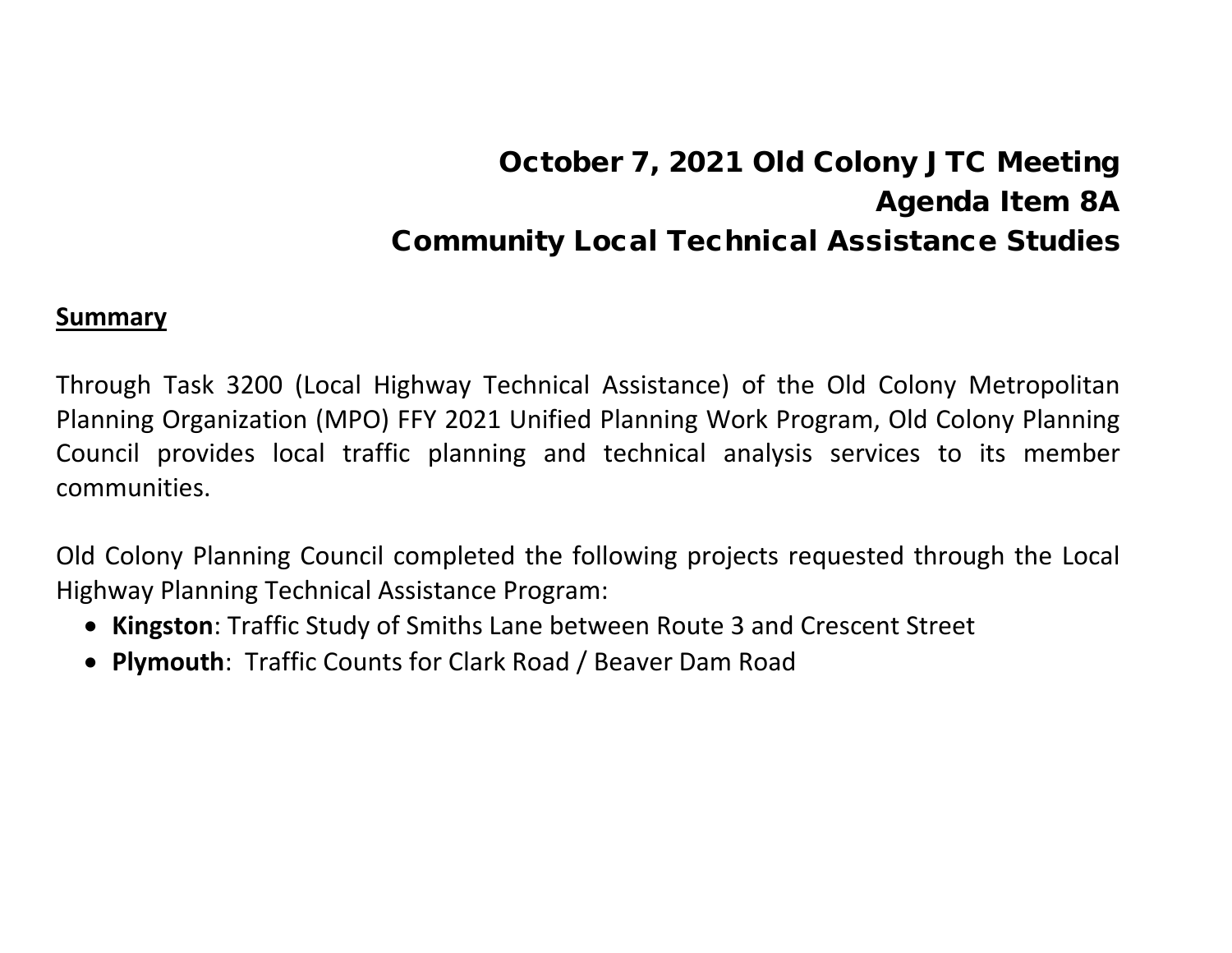# October 7, 2021 Old Colony JTC Meeting Agenda Item 8A Community Local Technical Assistance Studies

#### **Summary**

Through Task 3200 (Local Highway Technical Assistance) of the Old Colony Metropolitan Planning Organization (MPO) FFY 2021 Unified Planning Work Program, Old Colony Planning Council provides local traffic planning and technical analysis services to its member communities.

Old Colony Planning Council completed the following projects requested through the Local Highway Planning Technical Assistance Program:

- **Kingston**: Traffic Study of Smiths Lane between Route 3 and Crescent Street
- **Plymouth**: Traffic Counts for Clark Road / Beaver Dam Road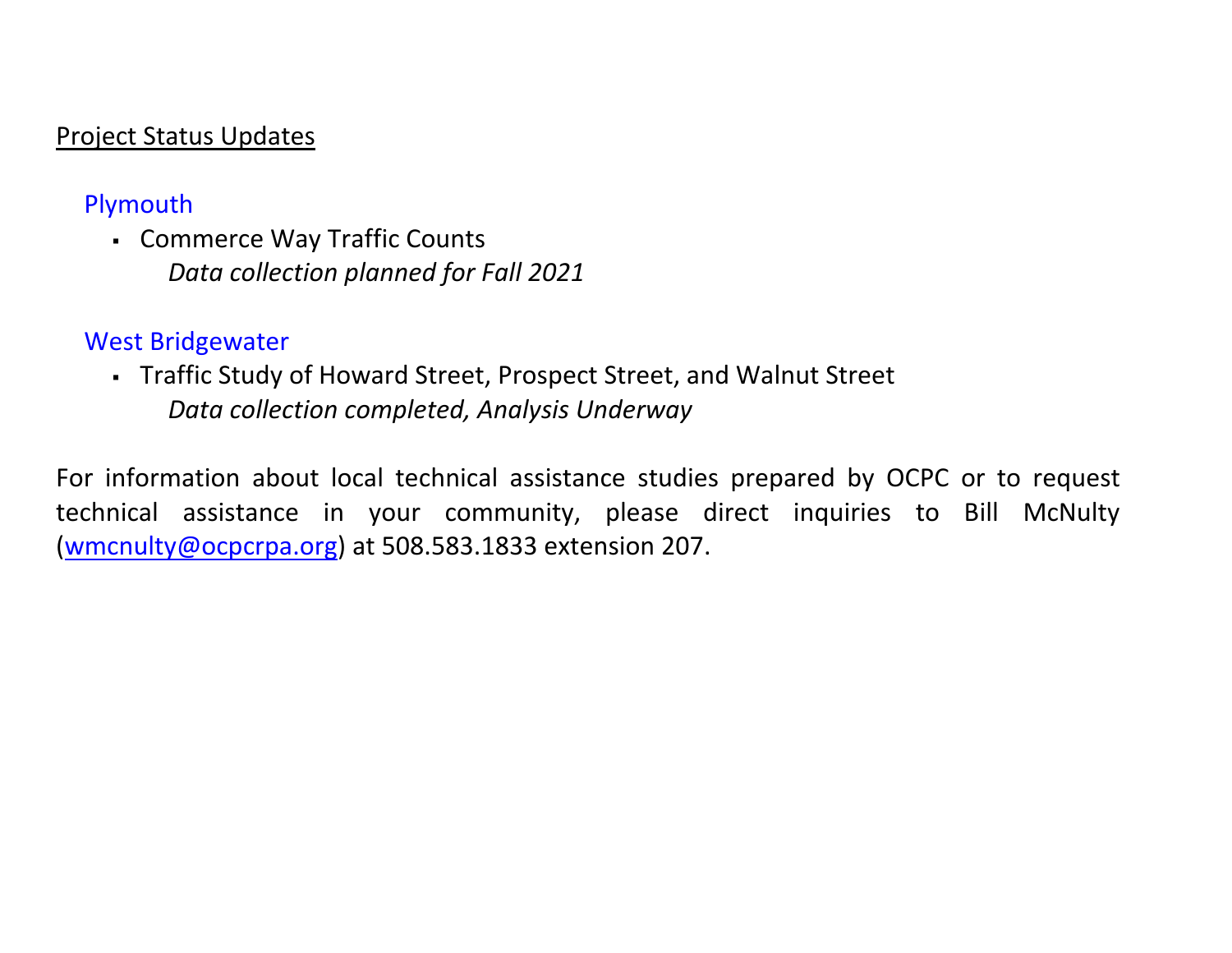#### Project Status Updates

#### Plymouth

 Commerce Way Traffic Counts *Data collection planned for Fall 2021*

#### West Bridgewater

 Traffic Study of Howard Street, Prospect Street, and Walnut Street *Data collection completed, Analysis Underway*

For information about local technical assistance studies prepared by OCPC or to request technical assistance in your community, please direct inquiries to Bill McNulty [\(wmcnulty@ocpcrpa.org\)](mailto:wmcnulty@ocpcrpa.org) at 508.583.1833 extension 207.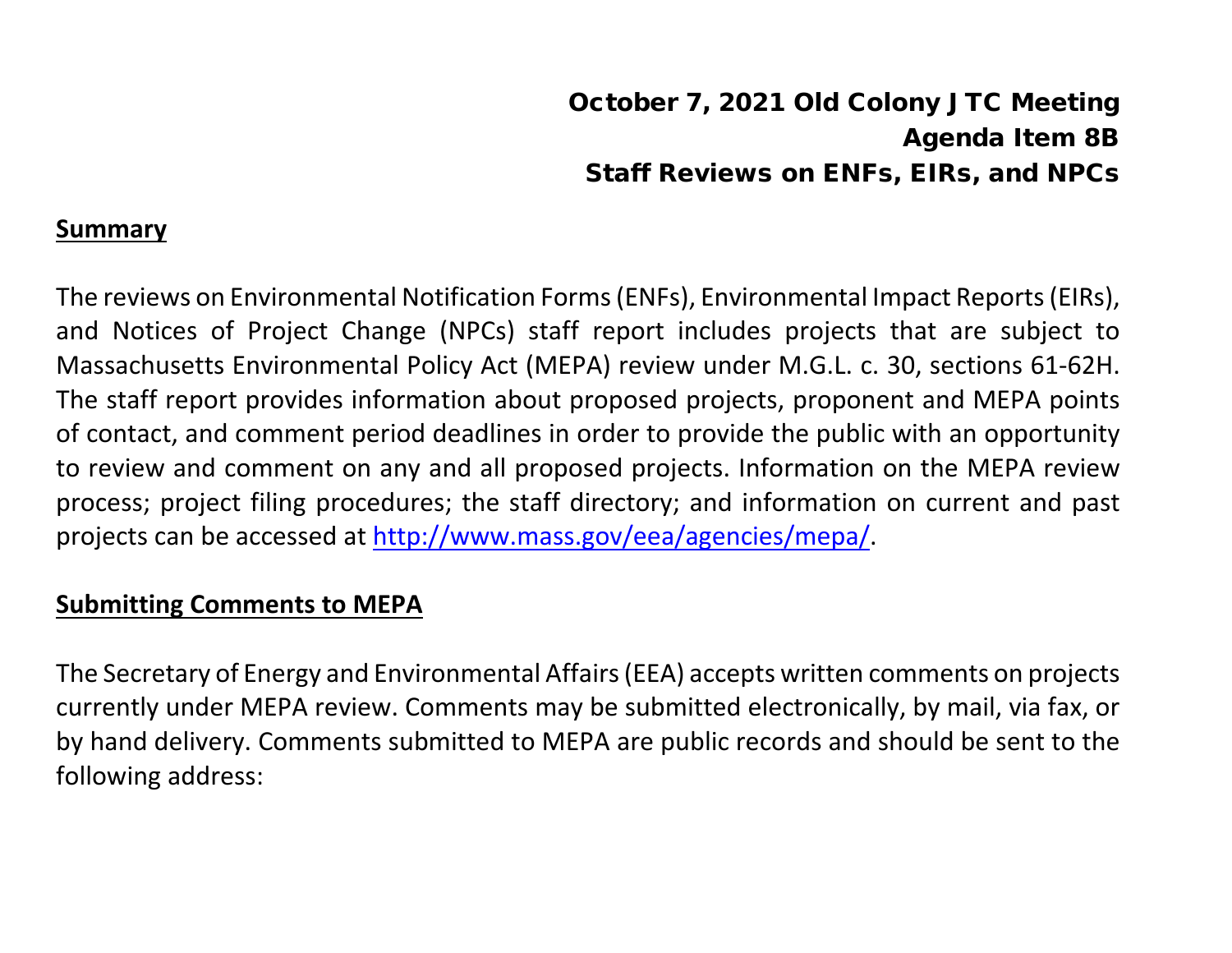#### October 7, 2021 Old Colony JTC Meeting Agenda Item 8B Staff Reviews on ENFs, EIRs, and NPCs

#### **Summary**

The reviews on Environmental Notification Forms (ENFs), Environmental Impact Reports (EIRs), and Notices of Project Change (NPCs) staff report includes projects that are subject to Massachusetts Environmental Policy Act (MEPA) review under M.G.L. c. 30, sections 61-62H. The staff report provides information about proposed projects, proponent and MEPA points of contact, and comment period deadlines in order to provide the public with an opportunity to review and comment on any and all proposed projects. Information on the MEPA review process; project filing procedures; the staff directory; and information on current and past projects can be accessed at [http://www.mass.gov/eea/agencies/mepa/.](http://www.mass.gov/eea/agencies/mepa/)

#### **Submitting Comments to MEPA**

The Secretary of Energy and Environmental Affairs (EEA) accepts written comments on projects currently under MEPA review. Comments may be submitted electronically, by mail, via fax, or by hand delivery. Comments submitted to MEPA are public records and should be sent to the following address: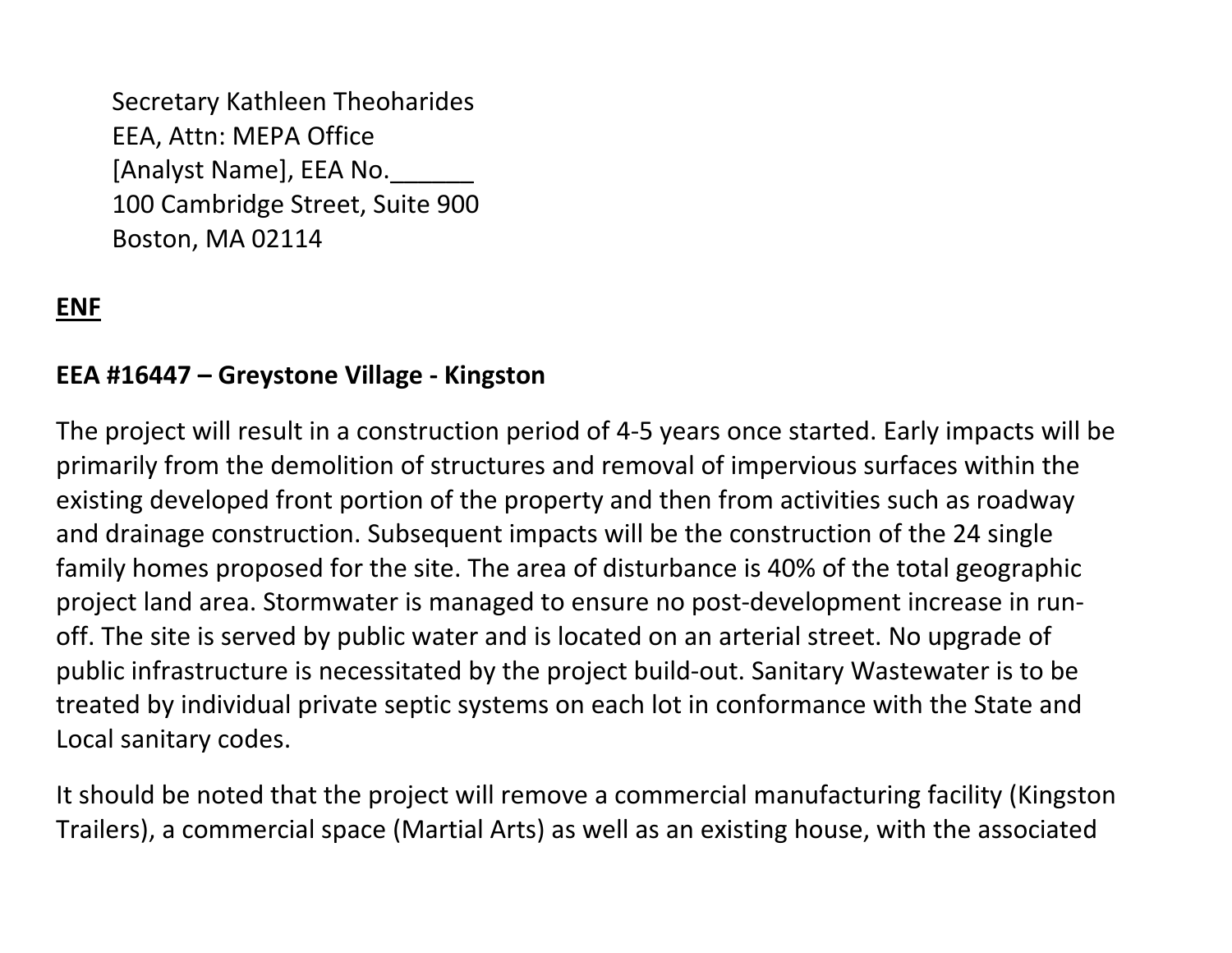Secretary Kathleen Theoharides EEA, Attn: MEPA Office [Analyst Name], EEA No. 100 Cambridge Street, Suite 900 Boston, MA 02114

#### **ENF**

#### **EEA #16447 – Greystone Village - Kingston**

The project will result in a construction period of 4-5 years once started. Early impacts will be primarily from the demolition of structures and removal of impervious surfaces within the existing developed front portion of the property and then from activities such as roadway and drainage construction. Subsequent impacts will be the construction of the 24 single family homes proposed for the site. The area of disturbance is 40% of the total geographic project land area. Stormwater is managed to ensure no post-development increase in runoff. The site is served by public water and is located on an arterial street. No upgrade of public infrastructure is necessitated by the project build-out. Sanitary Wastewater is to be treated by individual private septic systems on each lot in conformance with the State and Local sanitary codes.

It should be noted that the project will remove a commercial manufacturing facility (Kingston Trailers), a commercial space (Martial Arts) as well as an existing house, with the associated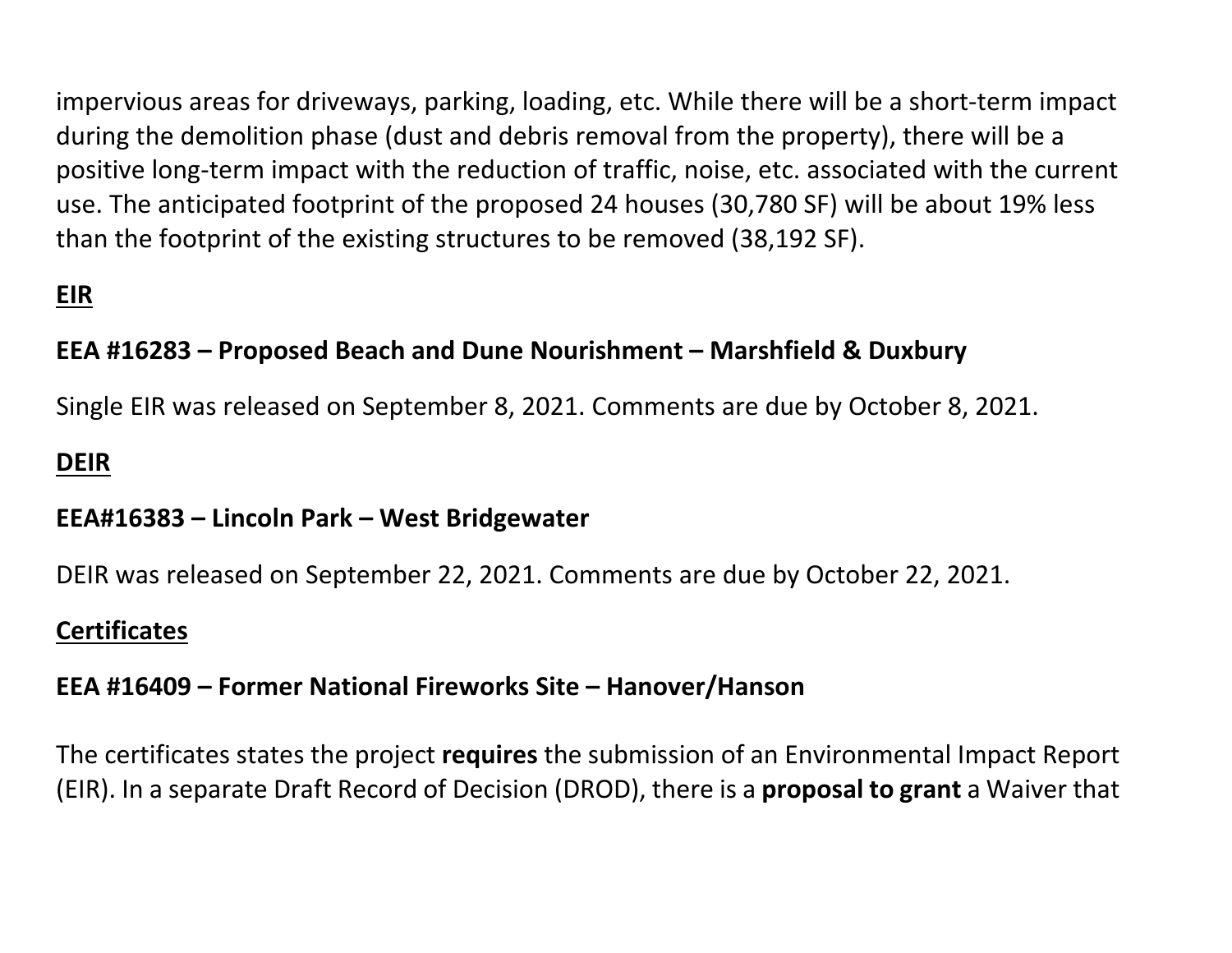impervious areas for driveways, parking, loading, etc. While there will be a short-term impact during the demolition phase (dust and debris removal from the property), there will be a positive long-term impact with the reduction of traffic, noise, etc. associated with the current use. The anticipated footprint of the proposed 24 houses (30,780 SF) will be about 19% less than the footprint of the existing structures to be removed (38,192 SF).

#### **EIR**

#### **EEA #16283 – Proposed Beach and Dune Nourishment – Marshfield & Duxbury**

Single EIR was released on September 8, 2021. Comments are due by October 8, 2021.

#### **DEIR**

#### **EEA#16383 – Lincoln Park – West Bridgewater**

DEIR was released on September 22, 2021. Comments are due by October 22, 2021.

#### **Certificates**

#### **EEA #16409 – Former National Fireworks Site – Hanover/Hanson**

The certificates states the project **requires** the submission of an Environmental Impact Report (EIR). In a separate Draft Record of Decision (DROD), there is a **proposal to grant** a Waiver that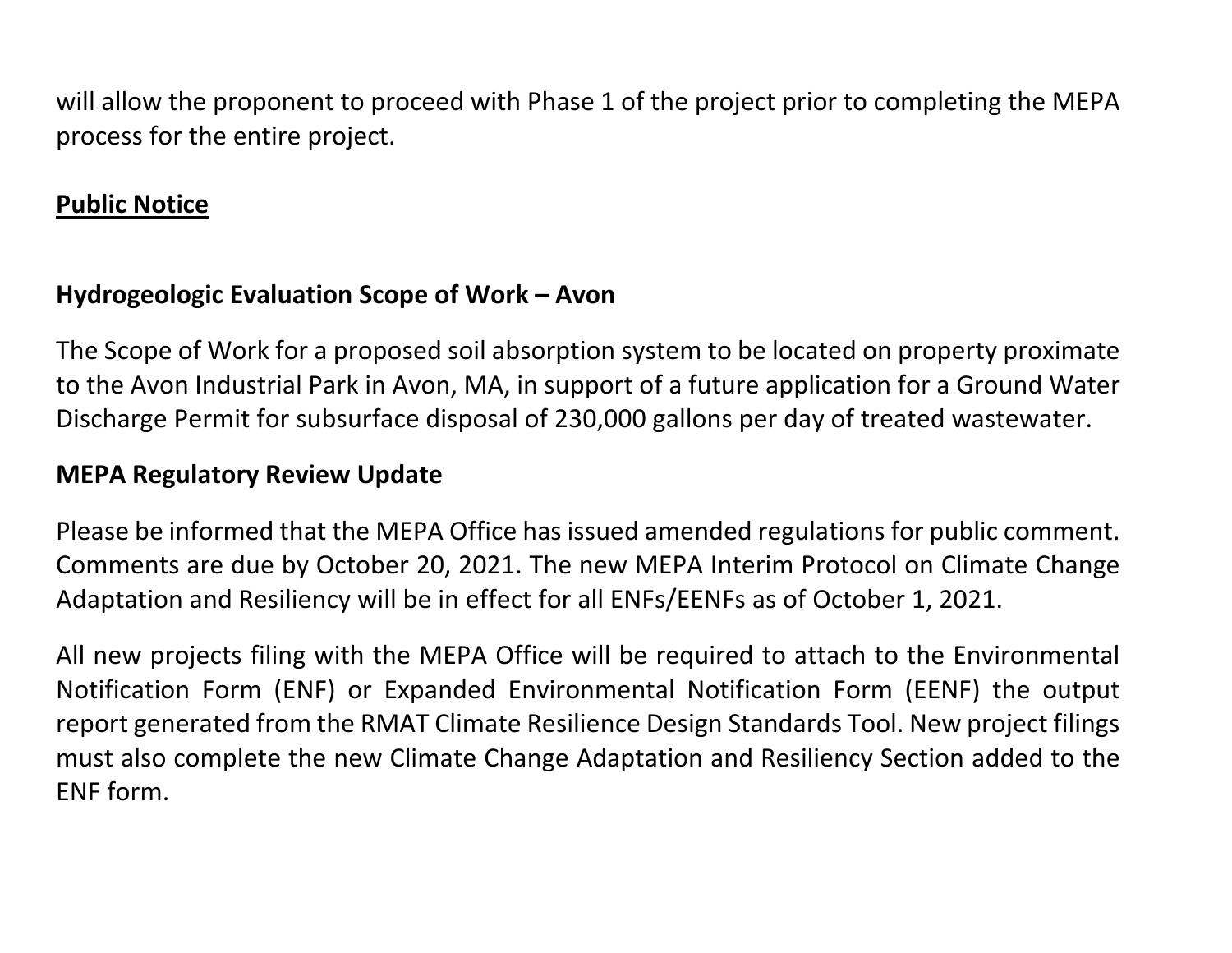will allow the proponent to proceed with Phase 1 of the project prior to completing the MEPA process for the entire project.

#### **Public Notice**

#### **Hydrogeologic Evaluation Scope of Work – Avon**

The Scope of Work for a proposed soil absorption system to be located on property proximate to the Avon Industrial Park in Avon, MA, in support of a future application for a Ground Water Discharge Permit for subsurface disposal of 230,000 gallons per day of treated wastewater.

#### **MEPA Regulatory Review Update**

Please be informed that the MEPA Office has issued amended regulations for public comment. Comments are due by October 20, 2021. The new MEPA Interim Protocol on Climate Change Adaptation and Resiliency will be in effect for all ENFs/EENFs as of October 1, 2021.

All new projects filing with the MEPA Office will be required to attach to the Environmental Notification Form (ENF) or Expanded Environmental Notification Form (EENF) the output report generated from the RMAT Climate Resilience Design Standards Tool. New project filings must also complete the new Climate Change Adaptation and Resiliency Section added to the ENF form.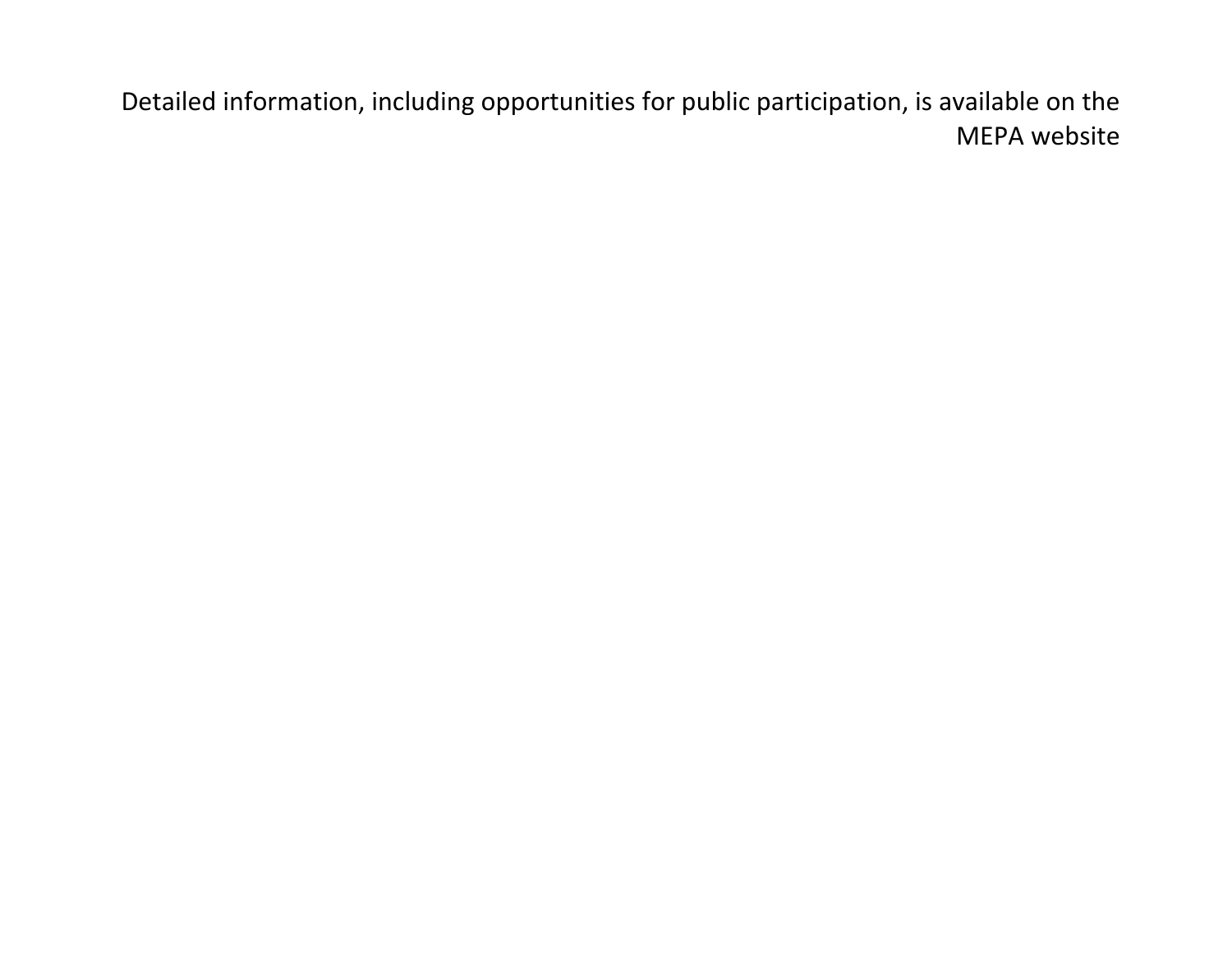Detailed information, including opportunities for public participation, is available on the MEPA website